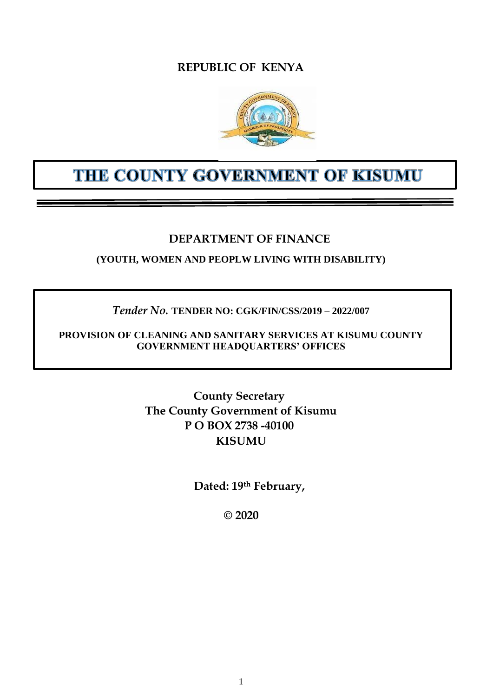## **REPUBLIC OF KENYA**



# THE COUNTY GOVERNMENT OF KISUMU

## **DEPARTMENT OF FINANCE**

**(YOUTH, WOMEN AND PEOPLW LIVING WITH DISABILITY)**

## *Tender No.* **TENDER NO: CGK/FIN/CSS/2019 – 2022/007**

**PROVISION OF CLEANING AND SANITARY SERVICES AT KISUMU COUNTY GOVERNMENT HEADQUARTERS' OFFICES**

> **County Secretary The County Government of Kisumu P O BOX 2738 -40100 KISUMU**

> > **Dated: 19th February,**

**© 2020**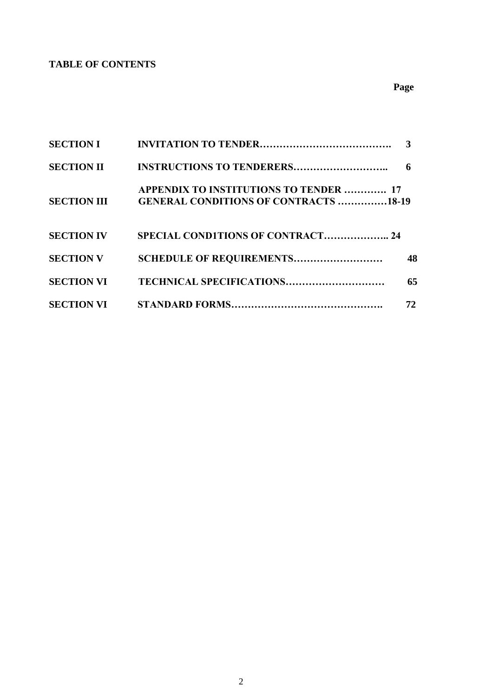## **TABLE OF CONTENTS**

| <b>SECTION I</b>   |                                                                                               | $\mathbf{3}$ |
|--------------------|-----------------------------------------------------------------------------------------------|--------------|
| <b>SECTION II</b>  | <b>INSTRUCTIONS TO TENDERERS</b>                                                              | 6            |
| <b>SECTION III</b> | <b>APPENDIX TO INSTITUTIONS TO TENDER  17</b><br><b>GENERAL CONDITIONS OF CONTRACTS 18-19</b> |              |
| <b>SECTION IV</b>  | <b>SPECIAL CONDITIONS OF CONTRACT 24</b>                                                      |              |
| <b>SECTION V</b>   | SCHEDULE OF REQUIREMENTS                                                                      | 48           |
| <b>SECTION VI</b>  | TECHNICAL SPECIFICATIONS                                                                      | 65           |
| <b>SECTION VI</b>  |                                                                                               | 72           |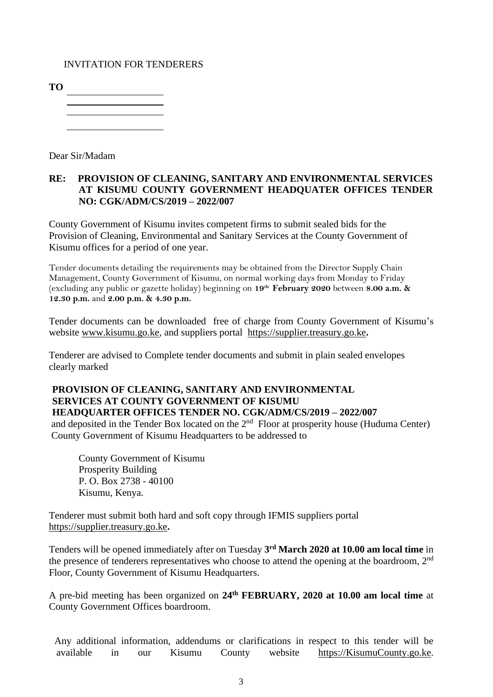## INVITATION FOR TENDERERS

**TO**

Dear Sir/Madam

### **RE: PROVISION OF CLEANING, SANITARY AND ENVIRONMENTAL SERVICES AT KISUMU COUNTY GOVERNMENT HEADQUATER OFFICES TENDER NO: CGK/ADM/CS/2019 – 2022/007**

County Government of Kisumu invites competent firms to submit sealed bids for the Provision of Cleaning, Environmental and Sanitary Services at the County Government of Kisumu offices for a period of one year.

Tender documents detailing the requirements may be obtained from the Director Supply Chain Management, County Government of Kisumu, on normal working days from Monday to Friday (excluding any public or gazette holiday) beginning on **19th February 2020** between **8.00 a.m. & 12.30 p.m.** and **2.00 p.m. & 4.30 p.m.**

Tender documents can be downloaded free of charge from County Government of Kisumu's website [www.kisumu.go.ke,](http://www.kisumu.go.ke/) and suppliers portal [https://supplier.treasury.go.ke](https://supplier.treasury.go.ke/)**.** 

Tenderer are advised to Complete tender documents and submit in plain sealed envelopes clearly marked

## **PROVISION OF CLEANING, SANITARY AND ENVIRONMENTAL SERVICES AT COUNTY GOVERNMENT OF KISUMU HEADQUARTER OFFICES TENDER NO. CGK/ADM/CS/2019 – 2022/007**

and deposited in the Tender Box located on the  $2<sup>nd</sup>$  Floor at prosperity house (Huduma Center) County Government of Kisumu Headquarters to be addressed to

County Government of Kisumu Prosperity Building P. O. Box 2738 - 40100 Kisumu, Kenya.

Tenderer must submit both hard and soft copy through IFMIS suppliers portal [https://supplier.treasury.go.ke](https://supplier.treasury.go.ke/)**.**

Tenders will be opened immediately after on Tuesday **3 rd March 2020 at 10.00 am local time** in the presence of tenderers representatives who choose to attend the opening at the boardroom,  $2<sup>nd</sup>$ Floor, County Government of Kisumu Headquarters.

A pre-bid meeting has been organized on **24th FEBRUARY, 2020 at 10.00 am local time** at County Government Offices boardroom.

Any additional information, addendums or clarifications in respect to this tender will be available in our Kisumu County website [https://KisumuCounty.go.ke.](https://kisumucounty.go.ke/)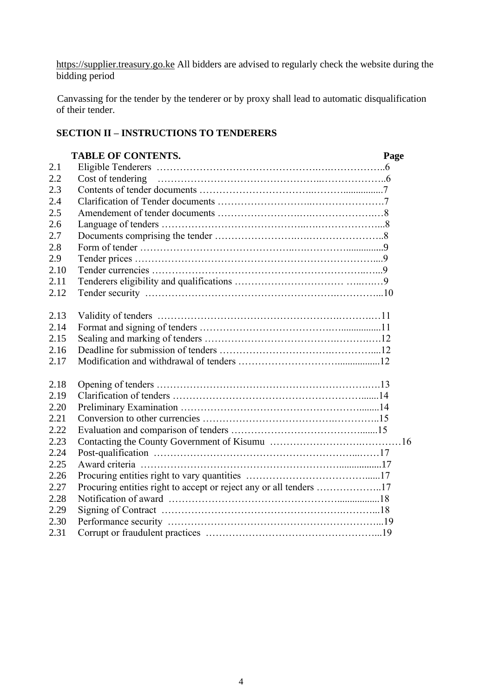[https://supplier.treasury.go.ke](https://supplier.treasury.go.ke/) All bidders are advised to regularly check the website during the bidding period

Canvassing for the tender by the tenderer or by proxy shall lead to automatic disqualification of their tender.

## **SECTION II – INSTRUCTIONS TO TENDERERS**

|      | <b>TABLE OF CONTENTS.</b>                                          | Page |
|------|--------------------------------------------------------------------|------|
| 2.1  |                                                                    |      |
| 2.2  |                                                                    |      |
| 2.3  |                                                                    |      |
| 2.4  |                                                                    |      |
| 2.5  |                                                                    |      |
| 2.6  |                                                                    |      |
| 2.7  |                                                                    |      |
| 2.8  |                                                                    |      |
| 2.9  |                                                                    |      |
| 2.10 |                                                                    |      |
| 2.11 |                                                                    |      |
| 2.12 |                                                                    |      |
| 2.13 |                                                                    |      |
| 2.14 |                                                                    |      |
| 2.15 |                                                                    |      |
| 2.16 |                                                                    |      |
| 2.17 |                                                                    |      |
| 2.18 |                                                                    |      |
| 2.19 |                                                                    |      |
| 2.20 |                                                                    |      |
| 2.21 |                                                                    |      |
| 2.22 |                                                                    |      |
| 2.23 |                                                                    |      |
| 2.24 |                                                                    |      |
| 2.25 |                                                                    |      |
| 2.26 |                                                                    |      |
| 2.27 | Procuring entities right to accept or reject any or all tenders 17 |      |
| 2.28 |                                                                    |      |
| 2.29 |                                                                    |      |
| 2.30 |                                                                    |      |
| 2.31 |                                                                    |      |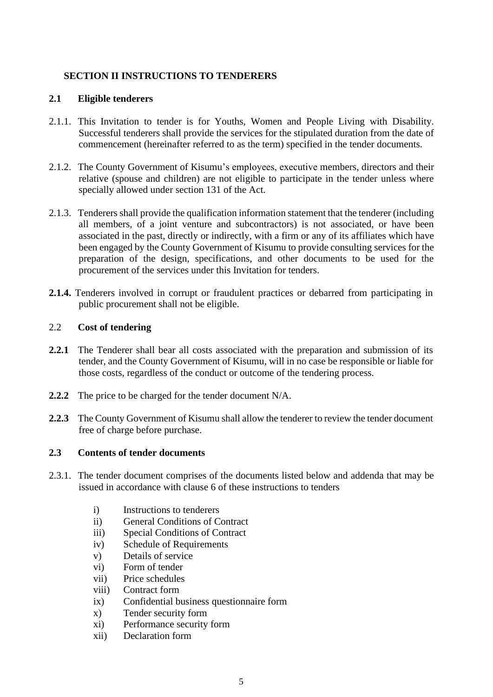## **SECTION II INSTRUCTIONS TO TENDERERS**

### **2.1 Eligible tenderers**

- 2.1.1. This Invitation to tender is for Youths, Women and People Living with Disability. Successful tenderers shall provide the services for the stipulated duration from the date of commencement (hereinafter referred to as the term) specified in the tender documents.
- 2.1.2. The County Government of Kisumu's employees, executive members, directors and their relative (spouse and children) are not eligible to participate in the tender unless where specially allowed under section 131 of the Act.
- 2.1.3. Tenderers shall provide the qualification information statement that the tenderer (including all members, of a joint venture and subcontractors) is not associated, or have been associated in the past, directly or indirectly, with a firm or any of its affiliates which have been engaged by the County Government of Kisumu to provide consulting services for the preparation of the design, specifications, and other documents to be used for the procurement of the services under this Invitation for tenders.
- **2.1.4.** Tenderers involved in corrupt or fraudulent practices or debarred from participating in public procurement shall not be eligible.

## 2.2 **Cost of tendering**

- **2.2.1** The Tenderer shall bear all costs associated with the preparation and submission of its tender, and the County Government of Kisumu, will in no case be responsible or liable for those costs, regardless of the conduct or outcome of the tendering process.
- **2.2.2** The price to be charged for the tender document N/A.
- **2.2.3** The County Government of Kisumu shall allow the tenderer to review the tender document free of charge before purchase.

## **2.3 Contents of tender documents**

- 2.3.1. The tender document comprises of the documents listed below and addenda that may be issued in accordance with clause 6 of these instructions to tenders
	- i) Instructions to tenderers
	- ii) General Conditions of Contract
	- iii) Special Conditions of Contract
	- iv) Schedule of Requirements
	- v) Details of service
	- vi) Form of tender
	- vii) Price schedules
	- viii) Contract form
	- ix) Confidential business questionnaire form
	- x) Tender security form
	- xi) Performance security form
	- xii) Declaration form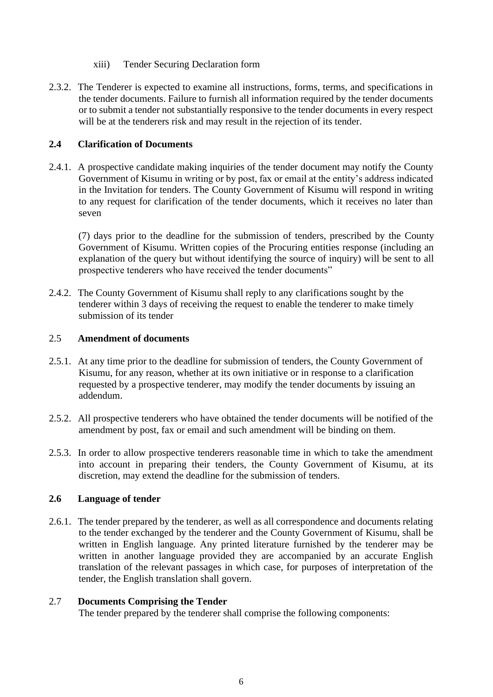- xiii) Tender Securing Declaration form
- 2.3.2. The Tenderer is expected to examine all instructions, forms, terms, and specifications in the tender documents. Failure to furnish all information required by the tender documents or to submit a tender not substantially responsive to the tender documents in every respect will be at the tenderers risk and may result in the rejection of its tender.

## **2.4 Clarification of Documents**

2.4.1. A prospective candidate making inquiries of the tender document may notify the County Government of Kisumu in writing or by post, fax or email at the entity's address indicated in the Invitation for tenders. The County Government of Kisumu will respond in writing to any request for clarification of the tender documents, which it receives no later than seven

(7) days prior to the deadline for the submission of tenders, prescribed by the County Government of Kisumu. Written copies of the Procuring entities response (including an explanation of the query but without identifying the source of inquiry) will be sent to all prospective tenderers who have received the tender documents"

2.4.2. The County Government of Kisumu shall reply to any clarifications sought by the tenderer within 3 days of receiving the request to enable the tenderer to make timely submission of its tender

#### 2.5 **Amendment of documents**

- 2.5.1. At any time prior to the deadline for submission of tenders, the County Government of Kisumu, for any reason, whether at its own initiative or in response to a clarification requested by a prospective tenderer, may modify the tender documents by issuing an addendum.
- 2.5.2. All prospective tenderers who have obtained the tender documents will be notified of the amendment by post, fax or email and such amendment will be binding on them.
- 2.5.3. In order to allow prospective tenderers reasonable time in which to take the amendment into account in preparing their tenders, the County Government of Kisumu, at its discretion, may extend the deadline for the submission of tenders.

## **2.6 Language of tender**

2.6.1. The tender prepared by the tenderer, as well as all correspondence and documents relating to the tender exchanged by the tenderer and the County Government of Kisumu, shall be written in English language. Any printed literature furnished by the tenderer may be written in another language provided they are accompanied by an accurate English translation of the relevant passages in which case, for purposes of interpretation of the tender, the English translation shall govern.

#### 2.7 **Documents Comprising the Tender**

The tender prepared by the tenderer shall comprise the following components: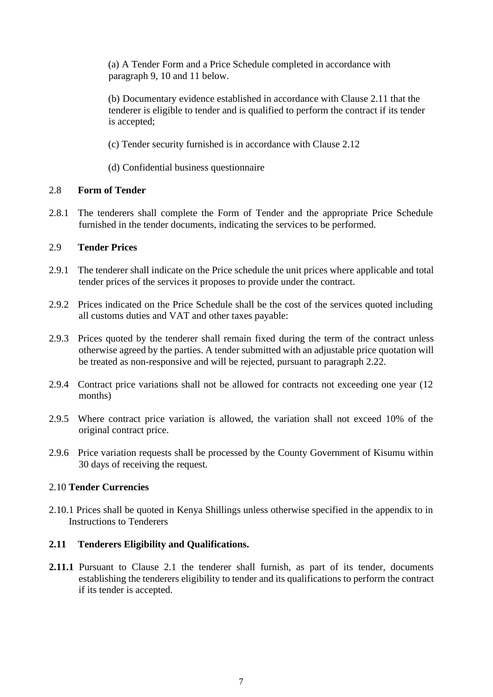(a) A Tender Form and a Price Schedule completed in accordance with paragraph 9, 10 and 11 below.

(b) Documentary evidence established in accordance with Clause 2.11 that the tenderer is eligible to tender and is qualified to perform the contract if its tender is accepted;

(c) Tender security furnished is in accordance with Clause 2.12

(d) Confidential business questionnaire

#### 2.8 **Form of Tender**

2.8.1 The tenderers shall complete the Form of Tender and the appropriate Price Schedule furnished in the tender documents, indicating the services to be performed.

#### 2.9 **Tender Prices**

- 2.9.1 The tenderer shall indicate on the Price schedule the unit prices where applicable and total tender prices of the services it proposes to provide under the contract.
- 2.9.2 Prices indicated on the Price Schedule shall be the cost of the services quoted including all customs duties and VAT and other taxes payable:
- 2.9.3 Prices quoted by the tenderer shall remain fixed during the term of the contract unless otherwise agreed by the parties. A tender submitted with an adjustable price quotation will be treated as non-responsive and will be rejected, pursuant to paragraph 2.22.
- 2.9.4 Contract price variations shall not be allowed for contracts not exceeding one year (12 months)
- 2.9.5 Where contract price variation is allowed, the variation shall not exceed 10% of the original contract price.
- 2.9.6 Price variation requests shall be processed by the County Government of Kisumu within 30 days of receiving the request.

#### 2.10 **Tender Currencies**

2.10.1 Prices shall be quoted in Kenya Shillings unless otherwise specified in the appendix to in Instructions to Tenderers

#### **2.11 Tenderers Eligibility and Qualifications.**

**2.11.1** Pursuant to Clause 2.1 the tenderer shall furnish, as part of its tender, documents establishing the tenderers eligibility to tender and its qualifications to perform the contract if its tender is accepted.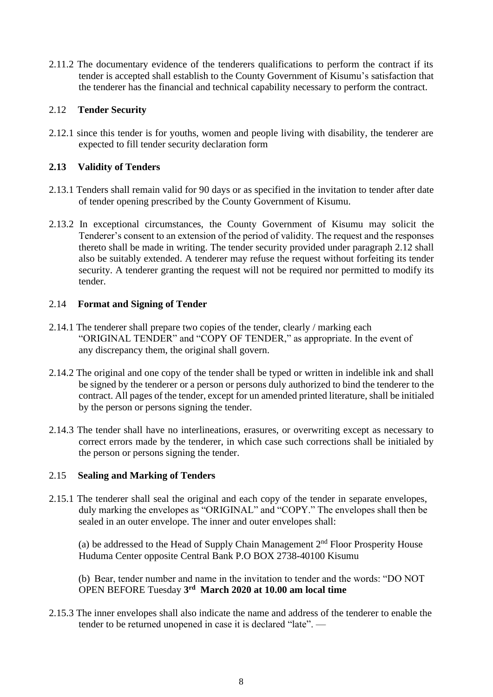2.11.2 The documentary evidence of the tenderers qualifications to perform the contract if its tender is accepted shall establish to the County Government of Kisumu's satisfaction that the tenderer has the financial and technical capability necessary to perform the contract.

### 2.12 **Tender Security**

2.12.1 since this tender is for youths, women and people living with disability, the tenderer are expected to fill tender security declaration form

## **2.13 Validity of Tenders**

- 2.13.1 Tenders shall remain valid for 90 days or as specified in the invitation to tender after date of tender opening prescribed by the County Government of Kisumu.
- 2.13.2 In exceptional circumstances, the County Government of Kisumu may solicit the Tenderer's consent to an extension of the period of validity. The request and the responses thereto shall be made in writing. The tender security provided under paragraph 2.12 shall also be suitably extended. A tenderer may refuse the request without forfeiting its tender security. A tenderer granting the request will not be required nor permitted to modify its tender.

## 2.14 **Format and Signing of Tender**

- 2.14.1 The tenderer shall prepare two copies of the tender, clearly / marking each "ORIGINAL TENDER" and "COPY OF TENDER," as appropriate. In the event of any discrepancy them, the original shall govern.
- 2.14.2 The original and one copy of the tender shall be typed or written in indelible ink and shall be signed by the tenderer or a person or persons duly authorized to bind the tenderer to the contract. All pages of the tender, except for un amended printed literature, shall be initialed by the person or persons signing the tender.
- 2.14.3 The tender shall have no interlineations, erasures, or overwriting except as necessary to correct errors made by the tenderer, in which case such corrections shall be initialed by the person or persons signing the tender.

## 2.15 **Sealing and Marking of Tenders**

2.15.1 The tenderer shall seal the original and each copy of the tender in separate envelopes, duly marking the envelopes as "ORIGINAL" and "COPY." The envelopes shall then be sealed in an outer envelope. The inner and outer envelopes shall:

(a) be addressed to the Head of Supply Chain Management  $2<sup>nd</sup>$  Floor Prosperity House Huduma Center opposite Central Bank P.O BOX 2738-40100 Kisumu

(b) Bear, tender number and name in the invitation to tender and the words: "DO NOT OPEN BEFORE Tuesday **3 rd March 2020 at 10.00 am local time**

2.15.3 The inner envelopes shall also indicate the name and address of the tenderer to enable the tender to be returned unopened in case it is declared "late". —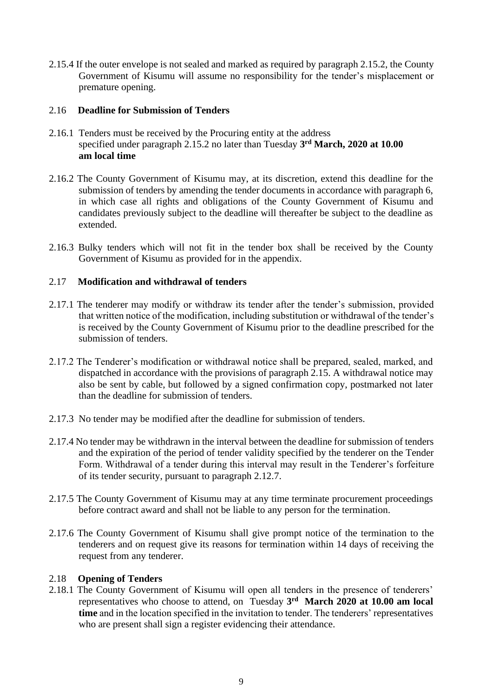2.15.4 If the outer envelope is not sealed and marked as required by paragraph 2.15.2, the County Government of Kisumu will assume no responsibility for the tender's misplacement or premature opening.

#### 2.16 **Deadline for Submission of Tenders**

- 2.16.1 Tenders must be received by the Procuring entity at the address specified under paragraph 2.15.2 no later than Tuesday **3 rd March, 2020 at 10.00 am local time**
- 2.16.2 The County Government of Kisumu may, at its discretion, extend this deadline for the submission of tenders by amending the tender documents in accordance with paragraph 6, in which case all rights and obligations of the County Government of Kisumu and candidates previously subject to the deadline will thereafter be subject to the deadline as extended.
- 2.16.3 Bulky tenders which will not fit in the tender box shall be received by the County Government of Kisumu as provided for in the appendix.

## 2.17 **Modification and withdrawal of tenders**

- 2.17.1 The tenderer may modify or withdraw its tender after the tender's submission, provided that written notice of the modification, including substitution or withdrawal of the tender's is received by the County Government of Kisumu prior to the deadline prescribed for the submission of tenders.
- 2.17.2 The Tenderer's modification or withdrawal notice shall be prepared, sealed, marked, and dispatched in accordance with the provisions of paragraph 2.15. A withdrawal notice may also be sent by cable, but followed by a signed confirmation copy, postmarked not later than the deadline for submission of tenders.
- 2.17.3 No tender may be modified after the deadline for submission of tenders.
- 2.17.4 No tender may be withdrawn in the interval between the deadline for submission of tenders and the expiration of the period of tender validity specified by the tenderer on the Tender Form. Withdrawal of a tender during this interval may result in the Tenderer's forfeiture of its tender security, pursuant to paragraph 2.12.7.
- 2.17.5 The County Government of Kisumu may at any time terminate procurement proceedings before contract award and shall not be liable to any person for the termination.
- 2.17.6 The County Government of Kisumu shall give prompt notice of the termination to the tenderers and on request give its reasons for termination within 14 days of receiving the request from any tenderer.

#### 2.18 **Opening of Tenders**

2.18.1 The County Government of Kisumu will open all tenders in the presence of tenderers' representatives who choose to attend, on Tuesday **3 rd March 2020 at 10.00 am local time** and in the location specified in the invitation to tender. The tenderers' representatives who are present shall sign a register evidencing their attendance.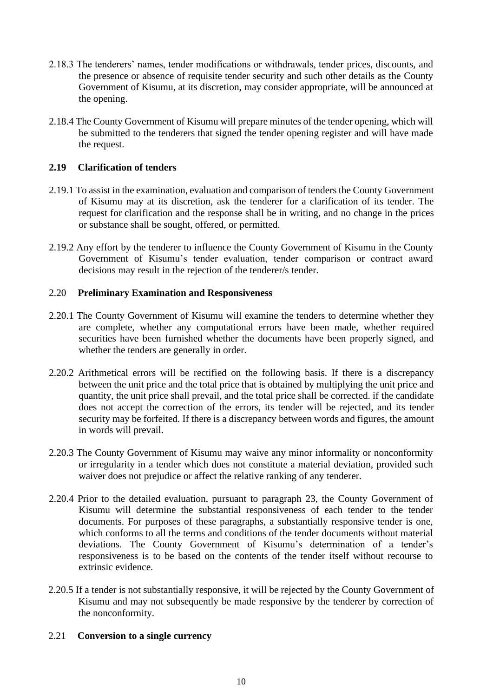- 2.18.3 The tenderers' names, tender modifications or withdrawals, tender prices, discounts, and the presence or absence of requisite tender security and such other details as the County Government of Kisumu, at its discretion, may consider appropriate, will be announced at the opening.
- 2.18.4 The County Government of Kisumu will prepare minutes of the tender opening, which will be submitted to the tenderers that signed the tender opening register and will have made the request.

## **2.19 Clarification of tenders**

- 2.19.1 To assist in the examination, evaluation and comparison of tenders the County Government of Kisumu may at its discretion, ask the tenderer for a clarification of its tender. The request for clarification and the response shall be in writing, and no change in the prices or substance shall be sought, offered, or permitted.
- 2.19.2 Any effort by the tenderer to influence the County Government of Kisumu in the County Government of Kisumu's tender evaluation, tender comparison or contract award decisions may result in the rejection of the tenderer/s tender.

#### 2.20 **Preliminary Examination and Responsiveness**

- 2.20.1 The County Government of Kisumu will examine the tenders to determine whether they are complete, whether any computational errors have been made, whether required securities have been furnished whether the documents have been properly signed, and whether the tenders are generally in order.
- 2.20.2 Arithmetical errors will be rectified on the following basis. If there is a discrepancy between the unit price and the total price that is obtained by multiplying the unit price and quantity, the unit price shall prevail, and the total price shall be corrected. if the candidate does not accept the correction of the errors, its tender will be rejected, and its tender security may be forfeited. If there is a discrepancy between words and figures, the amount in words will prevail.
- 2.20.3 The County Government of Kisumu may waive any minor informality or nonconformity or irregularity in a tender which does not constitute a material deviation, provided such waiver does not prejudice or affect the relative ranking of any tenderer.
- 2.20.4 Prior to the detailed evaluation, pursuant to paragraph 23, the County Government of Kisumu will determine the substantial responsiveness of each tender to the tender documents. For purposes of these paragraphs, a substantially responsive tender is one, which conforms to all the terms and conditions of the tender documents without material deviations. The County Government of Kisumu's determination of a tender's responsiveness is to be based on the contents of the tender itself without recourse to extrinsic evidence.
- 2.20.5 If a tender is not substantially responsive, it will be rejected by the County Government of Kisumu and may not subsequently be made responsive by the tenderer by correction of the nonconformity.

#### 2.21 **Conversion to a single currency**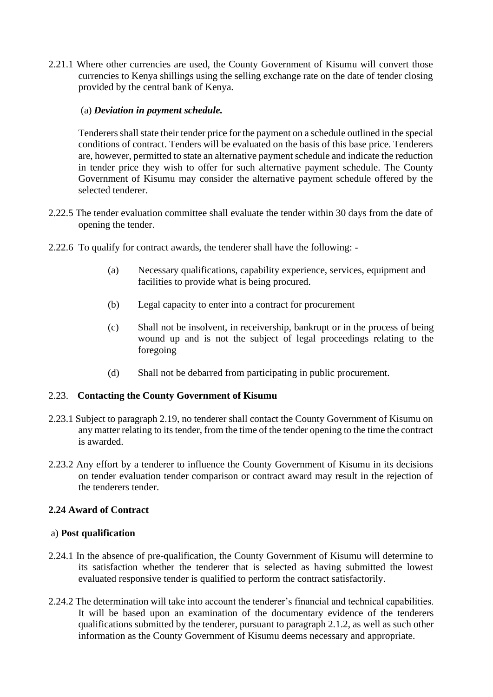2.21.1 Where other currencies are used, the County Government of Kisumu will convert those currencies to Kenya shillings using the selling exchange rate on the date of tender closing provided by the central bank of Kenya.

### (a) *Deviation in payment schedule.*

Tenderers shall state their tender price for the payment on a schedule outlined in the special conditions of contract. Tenders will be evaluated on the basis of this base price. Tenderers are, however, permitted to state an alternative payment schedule and indicate the reduction in tender price they wish to offer for such alternative payment schedule. The County Government of Kisumu may consider the alternative payment schedule offered by the selected tenderer.

- 2.22.5 The tender evaluation committee shall evaluate the tender within 30 days from the date of opening the tender.
- 2.22.6 To qualify for contract awards, the tenderer shall have the following:
	- (a) Necessary qualifications, capability experience, services, equipment and facilities to provide what is being procured.
	- (b) Legal capacity to enter into a contract for procurement
	- (c) Shall not be insolvent, in receivership, bankrupt or in the process of being wound up and is not the subject of legal proceedings relating to the foregoing
	- (d) Shall not be debarred from participating in public procurement.

#### 2.23. **Contacting the County Government of Kisumu**

- 2.23.1 Subject to paragraph 2.19, no tenderer shall contact the County Government of Kisumu on any matter relating to its tender, from the time of the tender opening to the time the contract is awarded.
- 2.23.2 Any effort by a tenderer to influence the County Government of Kisumu in its decisions on tender evaluation tender comparison or contract award may result in the rejection of the tenderers tender.

## **2.24 Award of Contract**

#### a) **Post qualification**

- 2.24.1 In the absence of pre-qualification, the County Government of Kisumu will determine to its satisfaction whether the tenderer that is selected as having submitted the lowest evaluated responsive tender is qualified to perform the contract satisfactorily.
- 2.24.2 The determination will take into account the tenderer's financial and technical capabilities. It will be based upon an examination of the documentary evidence of the tenderers qualifications submitted by the tenderer, pursuant to paragraph 2.1.2, as well as such other information as the County Government of Kisumu deems necessary and appropriate.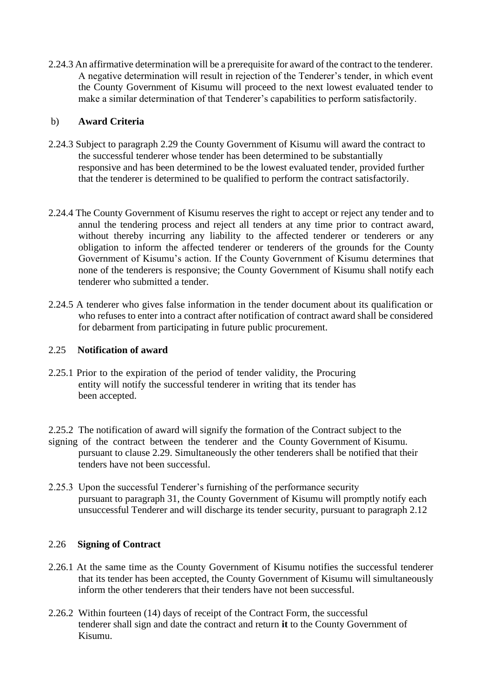2.24.3 An affirmative determination will be a prerequisite for award of the contract to the tenderer. A negative determination will result in rejection of the Tenderer's tender, in which event the County Government of Kisumu will proceed to the next lowest evaluated tender to make a similar determination of that Tenderer's capabilities to perform satisfactorily.

#### b) **Award Criteria**

- 2.24.3 Subject to paragraph 2.29 the County Government of Kisumu will award the contract to the successful tenderer whose tender has been determined to be substantially responsive and has been determined to be the lowest evaluated tender, provided further that the tenderer is determined to be qualified to perform the contract satisfactorily.
- 2.24.4 The County Government of Kisumu reserves the right to accept or reject any tender and to annul the tendering process and reject all tenders at any time prior to contract award, without thereby incurring any liability to the affected tenderer or tenderers or any obligation to inform the affected tenderer or tenderers of the grounds for the County Government of Kisumu's action. If the County Government of Kisumu determines that none of the tenderers is responsive; the County Government of Kisumu shall notify each tenderer who submitted a tender.
- 2.24.5 A tenderer who gives false information in the tender document about its qualification or who refuses to enter into a contract after notification of contract award shall be considered for debarment from participating in future public procurement.

## 2.25 **Notification of award**

- 2.25.1 Prior to the expiration of the period of tender validity, the Procuring entity will notify the successful tenderer in writing that its tender has been accepted.
- 2.25.2 The notification of award will signify the formation of the Contract subject to the signing of the contract between the tenderer and the County Government of Kisumu. pursuant to clause 2.29. Simultaneously the other tenderers shall be notified that their tenders have not been successful.
- 2.25.3 Upon the successful Tenderer's furnishing of the performance security pursuant to paragraph 31, the County Government of Kisumu will promptly notify each unsuccessful Tenderer and will discharge its tender security, pursuant to paragraph 2.12

## 2.26 **Signing of Contract**

- 2.26.1 At the same time as the County Government of Kisumu notifies the successful tenderer that its tender has been accepted, the County Government of Kisumu will simultaneously inform the other tenderers that their tenders have not been successful.
- 2.26.2 Within fourteen (14) days of receipt of the Contract Form, the successful tenderer shall sign and date the contract and return **it** to the County Government of Kisumu.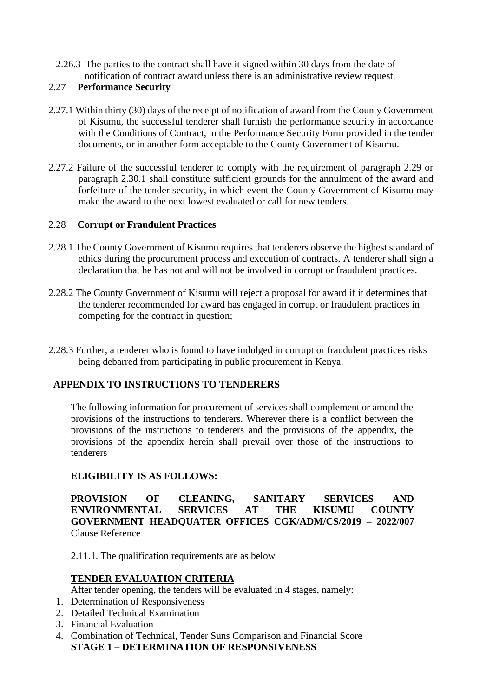2.26.3 The parties to the contract shall have it signed within 30 days from the date of notification of contract award unless there is an administrative review request.

## 2.27 **Performance Security**

- 2.27.1 Within thirty (30) days of the receipt of notification of award from the County Government of Kisumu, the successful tenderer shall furnish the performance security in accordance with the Conditions of Contract, in the Performance Security Form provided in the tender documents, or in another form acceptable to the County Government of Kisumu.
- 2.27.2 Failure of the successful tenderer to comply with the requirement of paragraph 2.29 or paragraph 2.30.1 shall constitute sufficient grounds for the annulment of the award and forfeiture of the tender security, in which event the County Government of Kisumu may make the award to the next lowest evaluated or call for new tenders.

## 2.28 **Corrupt or Fraudulent Practices**

- 2.28.1 The County Government of Kisumu requires that tenderers observe the highest standard of ethics during the procurement process and execution of contracts. A tenderer shall sign a declaration that he has not and will not be involved in corrupt or fraudulent practices.
- 2.28.2 The County Government of Kisumu will reject a proposal for award if it determines that the tenderer recommended for award has engaged in corrupt or fraudulent practices in competing for the contract in question;
- 2.28.3 Further, a tenderer who is found to have indulged in corrupt or fraudulent practices risks being debarred from participating in public procurement in Kenya.

## **APPENDIX TO INSTRUCTIONS TO TENDERERS**

The following information for procurement of services shall complement or amend the provisions of the instructions to tenderers. Wherever there is a conflict between the provisions of the instructions to tenderers and the provisions of the appendix, the provisions of the appendix herein shall prevail over those of the instructions to tenderers

## **ELIGIBILITY IS AS FOLLOWS:**

**PROVISION OF CLEANING, SANITARY SERVICES AND ENVIRONMENTAL SERVICES AT THE KISUMU COUNTY GOVERNMENT HEADQUATER OFFICES CGK/ADM/CS/2019 – 2022/007**  Clause Reference

2.11.1. The qualification requirements are as below

## **TENDER EVALUATION CRITERIA**

After tender opening, the tenders will be evaluated in 4 stages, namely:

- 1. Determination of Responsiveness
- 2. Detailed Technical Examination
- 3. Financial Evaluation
- 4. Combination of Technical, Tender Suns Comparison and Financial Score **STAGE 1 – DETERMINATION OF RESPONSIVENESS**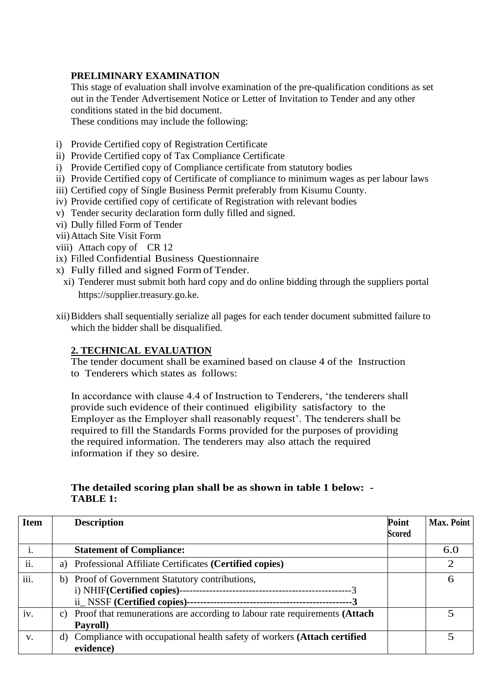## **PRELIMINARY EXAMINATION**

This stage of evaluation shall involve examination of the pre-qualification conditions as set out in the Tender Advertisement Notice or Letter of Invitation to Tender and any other conditions stated in the bid document.

These conditions may include the following:

- i) Provide Certified copy of Registration Certificate
- ii) Provide Certified copy of Tax Compliance Certificate
- i) Provide Certified copy of Compliance certificate from statutory bodies
- ii) Provide Certified copy of Certificate of compliance to minimum wages as per labour laws
- iii) Certified copy of Single Business Permit preferably from Kisumu County.
- iv) Provide certified copy of certificate of Registration with relevant bodies
- v) Tender security declaration form dully filled and signed.
- vi) Dully filled Form of Tender
- vii)Attach Site Visit Form
- viii) Attach copy of CR 12
- ix) Filled Confidential Business Questionnaire
- x) Fully filled and signed FormofTender.
	- xi) Tenderer must submit both hard copy and do online bidding through the suppliers portal https://supplier.treasury.go.ke.
- xii)Bidders shall sequentially serialize all pages for each tender document submitted failure to which the bidder shall be disqualified.

## **2. TECHNICAL EVALUATION**

The tender document shall be examined based on clause 4 of the Instruction to Tenderers which states as follows:

In accordance with clause 4.4 of Instruction to Tenderers, 'the tenderers shall provide such evidence of their continued eligibility satisfactory to the Employer as the Employer shall reasonably request'. The tenderers shall be required to fill the Standards Forms provided for the purposes of providing the required information. The tenderers may also attach the required information if they so desire.

## **The detailed scoring plan shall be as shown in table 1 below: - TABLE 1:**

| <b>Item</b> | <b>Description</b>                                                            | Point         | Max. Point |
|-------------|-------------------------------------------------------------------------------|---------------|------------|
|             |                                                                               | <b>Scored</b> |            |
|             | <b>Statement of Compliance:</b>                                               |               | 6.0        |
| ii.         | a) Professional Affiliate Certificates (Certified copies)                     |               |            |
| iii.        | b) Proof of Government Statutory contributions,                               |               | 6          |
|             |                                                                               |               |            |
|             |                                                                               |               |            |
| iv.         | c) Proof that remunerations are according to labour rate requirements (Attach |               |            |
|             | Payroll)                                                                      |               |            |
| $V_{\cdot}$ | Compliance with occupational health safety of workers (Attach certified<br>d) |               |            |
|             | evidence)                                                                     |               |            |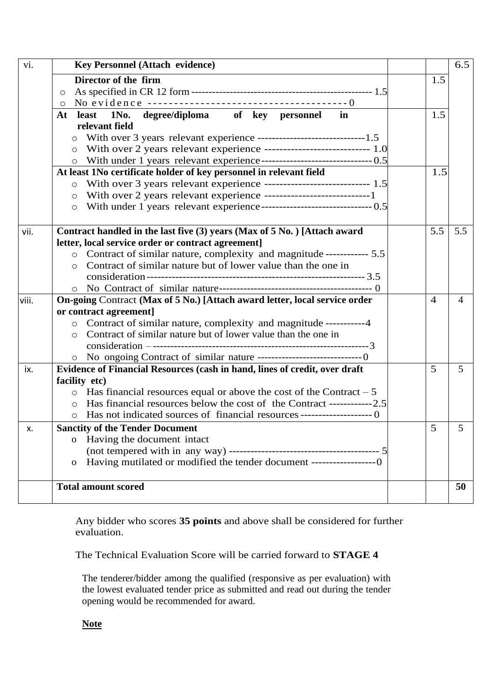| vi.   | <b>Key Personnel (Attach evidence)</b>                                                                                         |                | 6.5             |  |  |  |
|-------|--------------------------------------------------------------------------------------------------------------------------------|----------------|-----------------|--|--|--|
|       | Director of the firm                                                                                                           | 1.5            |                 |  |  |  |
|       | $\circ$                                                                                                                        |                |                 |  |  |  |
|       | $\circ$                                                                                                                        |                |                 |  |  |  |
|       | 1No. degree/diploma of key personnel<br>At<br>least<br>in                                                                      | 1.5            |                 |  |  |  |
|       | relevant field                                                                                                                 |                |                 |  |  |  |
|       | With over 3 years relevant experience --------------------------------1.5<br>$\circ$                                           |                |                 |  |  |  |
|       | $\circ$                                                                                                                        |                |                 |  |  |  |
|       | $\circ$                                                                                                                        |                |                 |  |  |  |
|       | At least 1No certificate holder of key personnel in relevant field                                                             | 1.5            |                 |  |  |  |
|       | With over 3 years relevant experience ------------------------------ 1.5<br>$\circ$                                            |                |                 |  |  |  |
|       | With over 2 years relevant experience -----------------------------1<br>$\circ$                                                |                |                 |  |  |  |
|       | $\circ$                                                                                                                        |                |                 |  |  |  |
| vii.  |                                                                                                                                | 5.5            | 5.5             |  |  |  |
|       | Contract handled in the last five (3) years (Max of 5 No.) [Attach award<br>letter, local service order or contract agreement] |                |                 |  |  |  |
|       | o Contract of similar nature, complexity and magnitude ------------ 5.5                                                        |                |                 |  |  |  |
|       | Contract of similar nature but of lower value than the one in<br>$\circ$                                                       |                |                 |  |  |  |
|       |                                                                                                                                |                |                 |  |  |  |
|       |                                                                                                                                |                |                 |  |  |  |
| viii. | On-going Contract (Max of 5 No.) [Attach award letter, local service order                                                     | $\overline{4}$ | 4               |  |  |  |
|       | or contract agreement]                                                                                                         |                |                 |  |  |  |
|       | o Contract of similar nature, complexity and magnitude -----------4                                                            |                |                 |  |  |  |
|       | Contract of similar nature but of lower value than the one in<br>$\circ$                                                       |                |                 |  |  |  |
|       |                                                                                                                                |                |                 |  |  |  |
|       |                                                                                                                                |                |                 |  |  |  |
| ix.   | Evidence of Financial Resources (cash in hand, lines of credit, over draft                                                     | 5              | 5               |  |  |  |
|       | facility etc)                                                                                                                  |                |                 |  |  |  |
|       | $\circ$ Has financial resources equal or above the cost of the Contract – 5                                                    |                |                 |  |  |  |
|       | Has financial resources below the cost of the Contract ------------2.5<br>$\circ$                                              |                |                 |  |  |  |
|       |                                                                                                                                |                |                 |  |  |  |
| Х.    | <b>Sanctity of the Tender Document</b>                                                                                         | 5              | $5\overline{)}$ |  |  |  |
|       | Having the document intact<br>$\mathbf{O}$                                                                                     |                |                 |  |  |  |
|       |                                                                                                                                |                |                 |  |  |  |
|       | Having mutilated or modified the tender document ------------------0<br>$\mathbf{O}$                                           |                |                 |  |  |  |
|       | <b>Total amount scored</b>                                                                                                     |                | 50              |  |  |  |
|       |                                                                                                                                |                |                 |  |  |  |

Any bidder who scores **35 points** and above shall be considered for further evaluation.

The Technical Evaluation Score will be carried forward to **STAGE 4**

The tenderer/bidder among the qualified (responsive as per evaluation) with the lowest evaluated tender price as submitted and read out during the tender opening would be recommended for award.

**Note**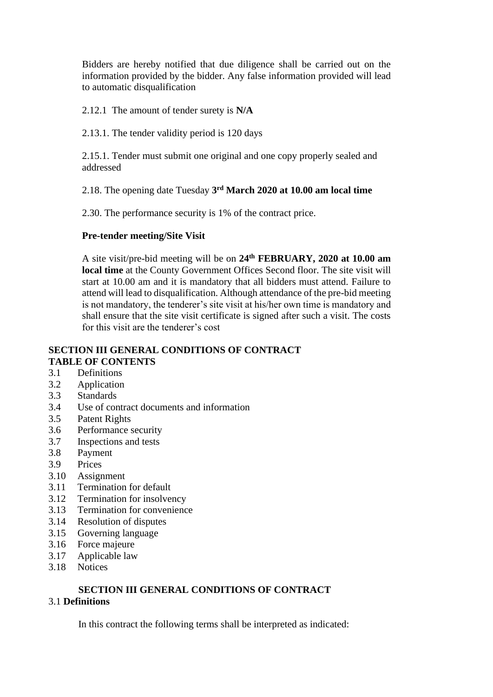Bidders are hereby notified that due diligence shall be carried out on the information provided by the bidder. Any false information provided will lead to automatic disqualification

2.12.1 The amount of tender surety is **N/A**

2.13.1. The tender validity period is 120 days

2.15.1. Tender must submit one original and one copy properly sealed and addressed

2.18. The opening date Tuesday **3 rd March 2020 at 10.00 am local time**

2.30. The performance security is 1% of the contract price.

#### **Pre-tender meeting/Site Visit**

A site visit/pre-bid meeting will be on **24th FEBRUARY, 2020 at 10.00 am local time** at the County Government Offices Second floor. The site visit will start at 10.00 am and it is mandatory that all bidders must attend. Failure to attend will lead to disqualification. Although attendance of the pre-bid meeting is not mandatory, the tenderer's site visit at his/her own time is mandatory and shall ensure that the site visit certificate is signed after such a visit. The costs for this visit are the tenderer's cost

#### **SECTION III GENERAL CONDITIONS OF CONTRACT TABLE OF CONTENTS**

- 3.1 Definitions
- 3.2 Application
- 3.3 Standards
- 3.4 Use of contract documents and information
- 3.5 Patent Rights
- 3.6 Performance security
- 3.7 Inspections and tests
- 3.8 Payment
- 3.9 Prices
- 3.10 Assignment
- 3.11 Termination for default
- 3.12 Termination for insolvency
- 3.13 Termination for convenience
- 3.14 Resolution of disputes
- 3.15 Governing language
- 3.16 Force majeure
- 3.17 Applicable law
- 3.18 Notices

#### **SECTION III GENERAL CONDITIONS OF CONTRACT**  3.1 **Definitions**

In this contract the following terms shall be interpreted as indicated: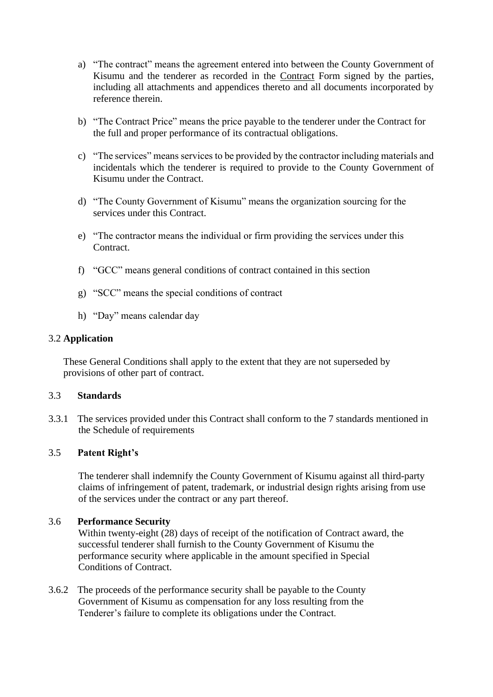- a) "The contract" means the agreement entered into between the County Government of Kisumu and the tenderer as recorded in the Contract Form signed by the parties, including all attachments and appendices thereto and all documents incorporated by reference therein.
- b) "The Contract Price" means the price payable to the tenderer under the Contract for the full and proper performance of its contractual obligations.
- c) "The services" means services to be provided by the contractor including materials and incidentals which the tenderer is required to provide to the County Government of Kisumu under the Contract.
- d) "The County Government of Kisumu" means the organization sourcing for the services under this Contract.
- e) "The contractor means the individual or firm providing the services under this Contract.
- f) "GCC" means general conditions of contract contained in this section
- g) "SCC" means the special conditions of contract
- h) "Day" means calendar day

#### 3.2 **Application**

These General Conditions shall apply to the extent that they are not superseded by provisions of other part of contract.

#### 3.3 **Standards**

3.3.1 The services provided under this Contract shall conform to the 7 standards mentioned in the Schedule of requirements

#### 3.5 **Patent Right's**

The tenderer shall indemnify the County Government of Kisumu against all third-party claims of infringement of patent, trademark, or industrial design rights arising from use of the services under the contract or any part thereof.

#### 3.6 **Performance Security**

Within twenty-eight (28) days of receipt of the notification of Contract award, the successful tenderer shall furnish to the County Government of Kisumu the performance security where applicable in the amount specified in Special Conditions of Contract.

3.6.2 The proceeds of the performance security shall be payable to the County Government of Kisumu as compensation for any loss resulting from the Tenderer's failure to complete its obligations under the Contract.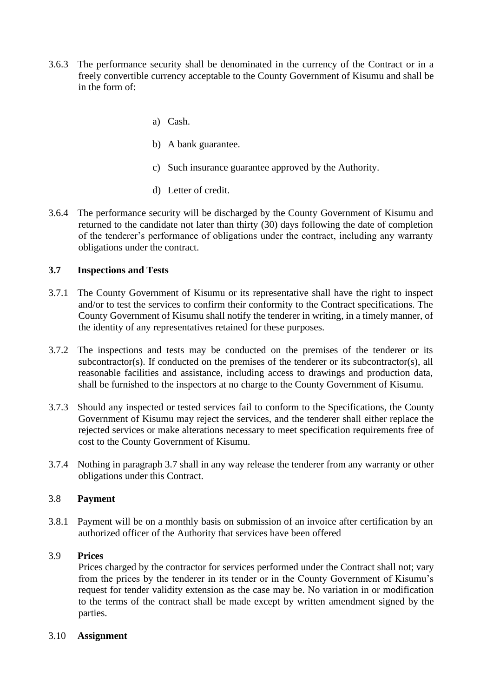- 3.6.3 The performance security shall be denominated in the currency of the Contract or in a freely convertible currency acceptable to the County Government of Kisumu and shall be in the form of:
	- a) Cash.
	- b) A bank guarantee.
	- c) Such insurance guarantee approved by the Authority.
	- d) Letter of credit.
- 3.6.4 The performance security will be discharged by the County Government of Kisumu and returned to the candidate not later than thirty (30) days following the date of completion of the tenderer's performance of obligations under the contract, including any warranty obligations under the contract.

#### **3.7 Inspections and Tests**

- 3.7.1 The County Government of Kisumu or its representative shall have the right to inspect and/or to test the services to confirm their conformity to the Contract specifications. The County Government of Kisumu shall notify the tenderer in writing, in a timely manner, of the identity of any representatives retained for these purposes.
- 3.7.2 The inspections and tests may be conducted on the premises of the tenderer or its subcontractor(s). If conducted on the premises of the tenderer or its subcontractor(s), all reasonable facilities and assistance, including access to drawings and production data, shall be furnished to the inspectors at no charge to the County Government of Kisumu.
- 3.7.3 Should any inspected or tested services fail to conform to the Specifications, the County Government of Kisumu may reject the services, and the tenderer shall either replace the rejected services or make alterations necessary to meet specification requirements free of cost to the County Government of Kisumu.
- 3.7.4 Nothing in paragraph 3.7 shall in any way release the tenderer from any warranty or other obligations under this Contract.

#### 3.8 **Payment**

3.8.1 Payment will be on a monthly basis on submission of an invoice after certification by an authorized officer of the Authority that services have been offered

#### 3.9 **Prices**

Prices charged by the contractor for services performed under the Contract shall not; vary from the prices by the tenderer in its tender or in the County Government of Kisumu's request for tender validity extension as the case may be. No variation in or modification to the terms of the contract shall be made except by written amendment signed by the parties.

#### 3.10 **Assignment**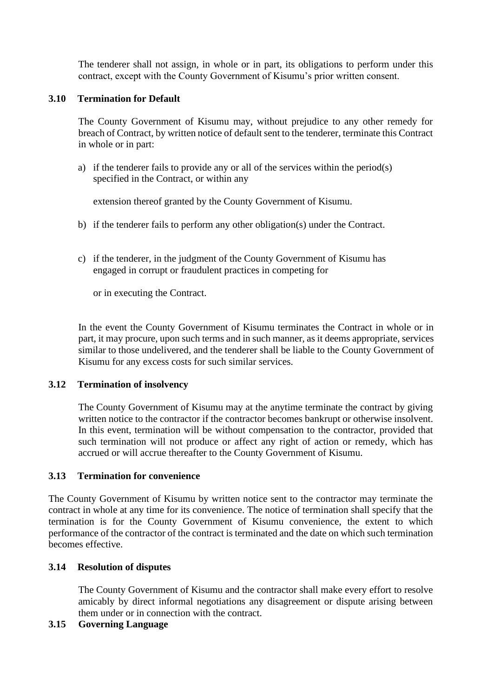The tenderer shall not assign, in whole or in part, its obligations to perform under this contract, except with the County Government of Kisumu's prior written consent.

#### **3.10 Termination for Default**

The County Government of Kisumu may, without prejudice to any other remedy for breach of Contract, by written notice of default sent to the tenderer, terminate this Contract in whole or in part:

a) if the tenderer fails to provide any or all of the services within the period(s) specified in the Contract, or within any

extension thereof granted by the County Government of Kisumu.

- b) if the tenderer fails to perform any other obligation(s) under the Contract.
- c) if the tenderer, in the judgment of the County Government of Kisumu has engaged in corrupt or fraudulent practices in competing for

or in executing the Contract.

In the event the County Government of Kisumu terminates the Contract in whole or in part, it may procure, upon such terms and in such manner, as it deems appropriate, services similar to those undelivered, and the tenderer shall be liable to the County Government of Kisumu for any excess costs for such similar services.

#### **3.12 Termination of insolvency**

The County Government of Kisumu may at the anytime terminate the contract by giving written notice to the contractor if the contractor becomes bankrupt or otherwise insolvent. In this event, termination will be without compensation to the contractor, provided that such termination will not produce or affect any right of action or remedy, which has accrued or will accrue thereafter to the County Government of Kisumu.

#### **3.13 Termination for convenience**

The County Government of Kisumu by written notice sent to the contractor may terminate the contract in whole at any time for its convenience. The notice of termination shall specify that the termination is for the County Government of Kisumu convenience, the extent to which performance of the contractor of the contract is terminated and the date on which such termination becomes effective.

#### **3.14 Resolution of disputes**

The County Government of Kisumu and the contractor shall make every effort to resolve amicably by direct informal negotiations any disagreement or dispute arising between them under or in connection with the contract.

#### **3.15 Governing Language**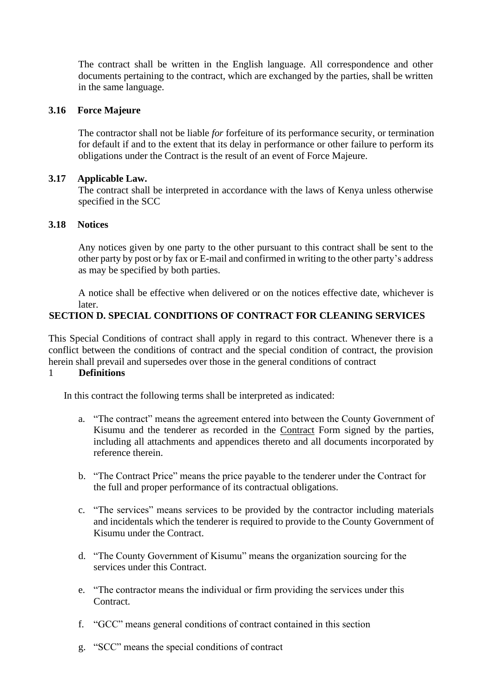The contract shall be written in the English language. All correspondence and other documents pertaining to the contract, which are exchanged by the parties, shall be written in the same language.

#### **3.16 Force Majeure**

The contractor shall not be liable *for* forfeiture of its performance security, or termination for default if and to the extent that its delay in performance or other failure to perform its obligations under the Contract is the result of an event of Force Majeure.

#### **3.17 Applicable Law.**

The contract shall be interpreted in accordance with the laws of Kenya unless otherwise specified in the SCC

#### **3.18 Notices**

Any notices given by one party to the other pursuant to this contract shall be sent to the other party by post or by fax or E-mail and confirmed in writing to the other party's address as may be specified by both parties.

A notice shall be effective when delivered or on the notices effective date, whichever is later.

## **SECTION D. SPECIAL CONDITIONS OF CONTRACT FOR CLEANING SERVICES**

This Special Conditions of contract shall apply in regard to this contract. Whenever there is a conflict between the conditions of contract and the special condition of contract, the provision herein shall prevail and supersedes over those in the general conditions of contract

#### 1 **Definitions**

In this contract the following terms shall be interpreted as indicated:

- a. "The contract" means the agreement entered into between the County Government of Kisumu and the tenderer as recorded in the Contract Form signed by the parties, including all attachments and appendices thereto and all documents incorporated by reference therein.
- b. "The Contract Price" means the price payable to the tenderer under the Contract for the full and proper performance of its contractual obligations.
- c. "The services" means services to be provided by the contractor including materials and incidentals which the tenderer is required to provide to the County Government of Kisumu under the Contract.
- d. "The County Government of Kisumu" means the organization sourcing for the services under this Contract.
- e. "The contractor means the individual or firm providing the services under this Contract.
- f. "GCC" means general conditions of contract contained in this section
- g. "SCC" means the special conditions of contract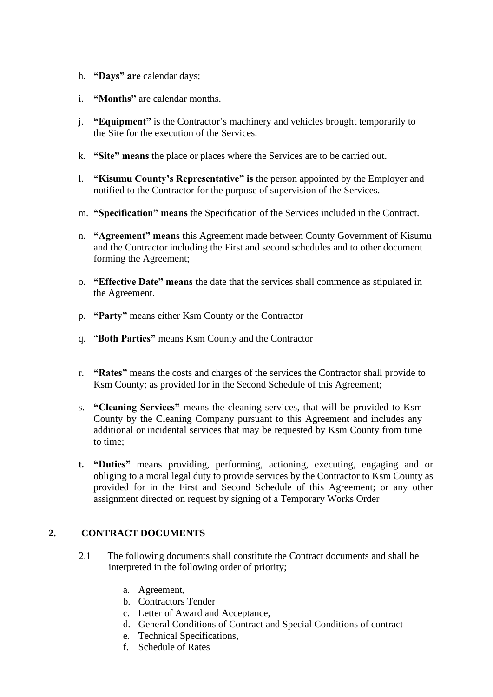- h. **"Days" are** calendar days;
- i. **"Months"** are calendar months.
- j. **"Equipment"** is the Contractor's machinery and vehicles brought temporarily to the Site for the execution of the Services.
- k. **"Site" means** the place or places where the Services are to be carried out.
- l. **"Kisumu County's Representative" is** the person appointed by the Employer and notified to the Contractor for the purpose of supervision of the Services.
- m. **"Specification" means** the Specification of the Services included in the Contract.
- n. **"Agreement" means** this Agreement made between County Government of Kisumu and the Contractor including the First and second schedules and to other document forming the Agreement;
- o. **"Effective Date" means** the date that the services shall commence as stipulated in the Agreement.
- p. **"Party"** means either Ksm County or the Contractor
- q. "**Both Parties"** means Ksm County and the Contractor
- r. **"Rates"** means the costs and charges of the services the Contractor shall provide to Ksm County; as provided for in the Second Schedule of this Agreement;
- s. **"Cleaning Services"** means the cleaning services, that will be provided to Ksm County by the Cleaning Company pursuant to this Agreement and includes any additional or incidental services that may be requested by Ksm County from time to time;
- **t. "Duties"** means providing, performing, actioning, executing, engaging and or obliging to a moral legal duty to provide services by the Contractor to Ksm County as provided for in the First and Second Schedule of this Agreement; or any other assignment directed on request by signing of a Temporary Works Order

## **2. CONTRACT DOCUMENTS**

- 2.1 The following documents shall constitute the Contract documents and shall be interpreted in the following order of priority;
	- a. Agreement,
	- b. Contractors Tender
	- c. Letter of Award and Acceptance,
	- d. General Conditions of Contract and Special Conditions of contract
	- e. Technical Specifications,
	- f. Schedule of Rates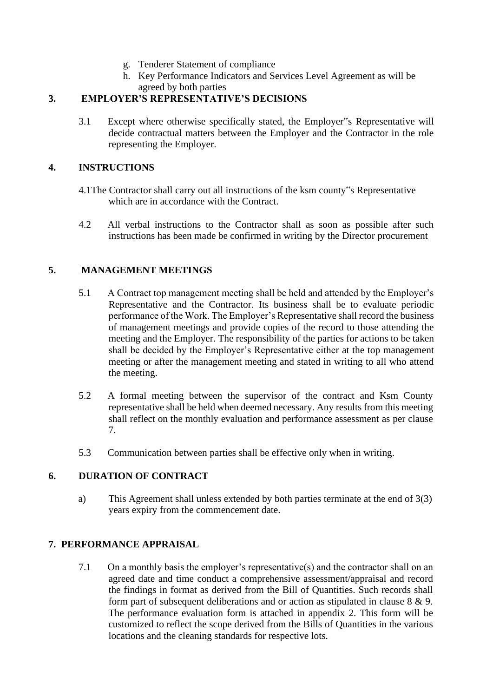- g. Tenderer Statement of compliance
- h. Key Performance Indicators and Services Level Agreement as will be agreed by both parties

## **3. EMPLOYER'S REPRESENTATIVE'S DECISIONS**

3.1 Except where otherwise specifically stated, the Employer"s Representative will decide contractual matters between the Employer and the Contractor in the role representing the Employer.

## **4. INSTRUCTIONS**

- 4.1The Contractor shall carry out all instructions of the ksm county"s Representative which are in accordance with the Contract.
- 4.2 All verbal instructions to the Contractor shall as soon as possible after such instructions has been made be confirmed in writing by the Director procurement

## **5. MANAGEMENT MEETINGS**

- 5.1 A Contract top management meeting shall be held and attended by the Employer's Representative and the Contractor. Its business shall be to evaluate periodic performance of the Work. The Employer's Representative shall record the business of management meetings and provide copies of the record to those attending the meeting and the Employer. The responsibility of the parties for actions to be taken shall be decided by the Employer's Representative either at the top management meeting or after the management meeting and stated in writing to all who attend the meeting.
- 5.2 A formal meeting between the supervisor of the contract and Ksm County representative shall be held when deemed necessary. Any results from this meeting shall reflect on the monthly evaluation and performance assessment as per clause 7.
- 5.3 Communication between parties shall be effective only when in writing.

## **6. DURATION OF CONTRACT**

a) This Agreement shall unless extended by both parties terminate at the end of 3(3) years expiry from the commencement date.

## **7. PERFORMANCE APPRAISAL**

7.1 On a monthly basis the employer's representative(s) and the contractor shall on an agreed date and time conduct a comprehensive assessment/appraisal and record the findings in format as derived from the Bill of Quantities. Such records shall form part of subsequent deliberations and or action as stipulated in clause 8 & 9. The performance evaluation form is attached in appendix 2. This form will be customized to reflect the scope derived from the Bills of Quantities in the various locations and the cleaning standards for respective lots.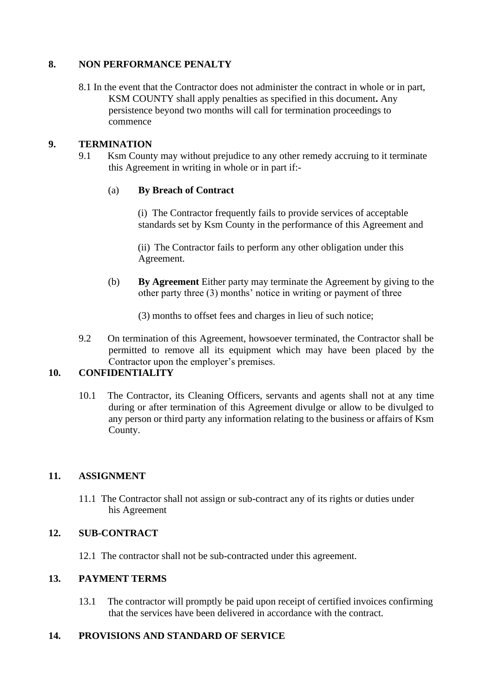## **8. NON PERFORMANCE PENALTY**

8.1 In the event that the Contractor does not administer the contract in whole or in part, KSM COUNTY shall apply penalties as specified in this document**.** Any persistence beyond two months will call for termination proceedings to commence

## **9. TERMINATION**

9.1 Ksm County may without prejudice to any other remedy accruing to it terminate this Agreement in writing in whole or in part if:-

## (a) **By Breach of Contract**

(i) The Contractor frequently fails to provide services of acceptable standards set by Ksm County in the performance of this Agreement and

(ii) The Contractor fails to perform any other obligation under this Agreement.

(b) **By Agreement** Either party may terminate the Agreement by giving to the other party three (3) months' notice in writing or payment of three

(3) months to offset fees and charges in lieu of such notice;

9.2 On termination of this Agreement, howsoever terminated, the Contractor shall be permitted to remove all its equipment which may have been placed by the Contractor upon the employer's premises.

## **10. CONFIDENTIALITY**

10.1 The Contractor, its Cleaning Officers, servants and agents shall not at any time during or after termination of this Agreement divulge or allow to be divulged to any person or third party any information relating to the business or affairs of Ksm County.

## **11. ASSIGNMENT**

11.1 The Contractor shall not assign or sub-contract any of its rights or duties under his Agreement

## **12. SUB-CONTRACT**

12.1 The contractor shall not be sub-contracted under this agreement.

## **13. PAYMENT TERMS**

13.1 The contractor will promptly be paid upon receipt of certified invoices confirming that the services have been delivered in accordance with the contract.

#### **14. PROVISIONS AND STANDARD OF SERVICE**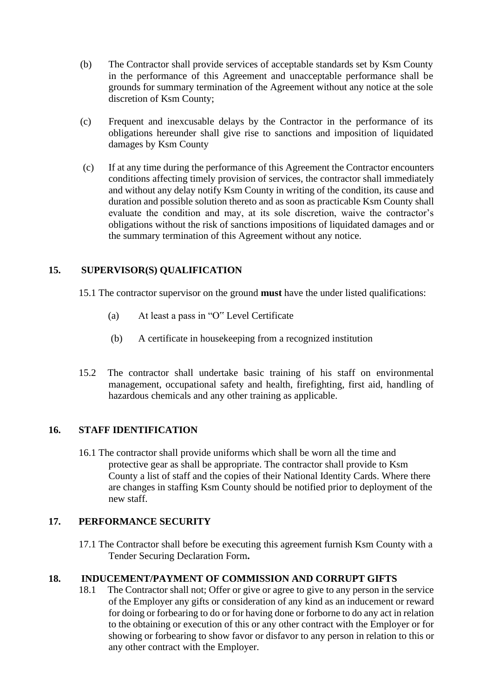- (b) The Contractor shall provide services of acceptable standards set by Ksm County in the performance of this Agreement and unacceptable performance shall be grounds for summary termination of the Agreement without any notice at the sole discretion of Ksm County;
- (c) Frequent and inexcusable delays by the Contractor in the performance of its obligations hereunder shall give rise to sanctions and imposition of liquidated damages by Ksm County
- (c) If at any time during the performance of this Agreement the Contractor encounters conditions affecting timely provision of services, the contractor shall immediately and without any delay notify Ksm County in writing of the condition, its cause and duration and possible solution thereto and as soon as practicable Ksm County shall evaluate the condition and may, at its sole discretion, waive the contractor's obligations without the risk of sanctions impositions of liquidated damages and or the summary termination of this Agreement without any notice.

## **15. SUPERVISOR(S) QUALIFICATION**

- 15.1 The contractor supervisor on the ground **must** have the under listed qualifications:
	- (a) At least a pass in "O" Level Certificate
	- (b) A certificate in housekeeping from a recognized institution
- 15.2 The contractor shall undertake basic training of his staff on environmental management, occupational safety and health, firefighting, first aid, handling of hazardous chemicals and any other training as applicable.

## **16. STAFF IDENTIFICATION**

16.1 The contractor shall provide uniforms which shall be worn all the time and protective gear as shall be appropriate. The contractor shall provide to Ksm County a list of staff and the copies of their National Identity Cards. Where there are changes in staffing Ksm County should be notified prior to deployment of the new staff.

## **17. PERFORMANCE SECURITY**

17.1 The Contractor shall before be executing this agreement furnish Ksm County with a Tender Securing Declaration Form**.**

## **18. INDUCEMENT/PAYMENT OF COMMISSION AND CORRUPT GIFTS**

18.1 The Contractor shall not; Offer or give or agree to give to any person in the service of the Employer any gifts or consideration of any kind as an inducement or reward for doing or forbearing to do or for having done or forborne to do any act in relation to the obtaining or execution of this or any other contract with the Employer or for showing or forbearing to show favor or disfavor to any person in relation to this or any other contract with the Employer.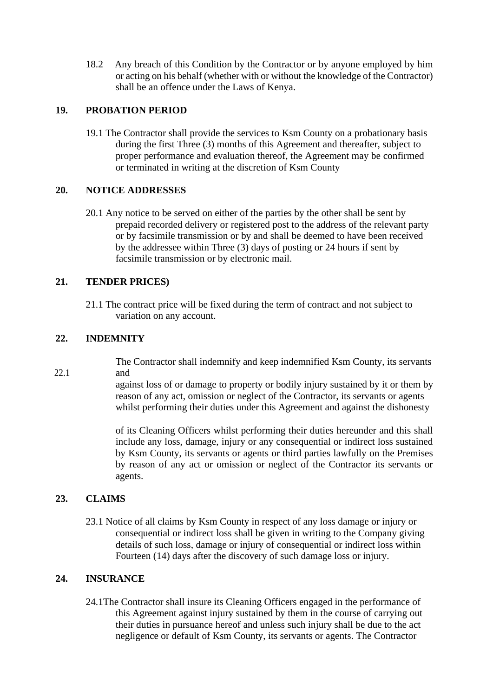18.2 Any breach of this Condition by the Contractor or by anyone employed by him or acting on his behalf (whether with or without the knowledge of the Contractor) shall be an offence under the Laws of Kenya.

### **19. PROBATION PERIOD**

19.1 The Contractor shall provide the services to Ksm County on a probationary basis during the first Three (3) months of this Agreement and thereafter, subject to proper performance and evaluation thereof, the Agreement may be confirmed or terminated in writing at the discretion of Ksm County

#### **20. NOTICE ADDRESSES**

20.1 Any notice to be served on either of the parties by the other shall be sent by prepaid recorded delivery or registered post to the address of the relevant party or by facsimile transmission or by and shall be deemed to have been received by the addressee within Three (3) days of posting or 24 hours if sent by facsimile transmission or by electronic mail.

## **21. TENDER PRICES)**

21.1 The contract price will be fixed during the term of contract and not subject to variation on any account.

## **22. INDEMNITY**

22.1

The Contractor shall indemnify and keep indemnified Ksm County, its servants and

against loss of or damage to property or bodily injury sustained by it or them by reason of any act, omission or neglect of the Contractor, its servants or agents whilst performing their duties under this Agreement and against the dishonesty

of its Cleaning Officers whilst performing their duties hereunder and this shall include any loss, damage, injury or any consequential or indirect loss sustained by Ksm County, its servants or agents or third parties lawfully on the Premises by reason of any act or omission or neglect of the Contractor its servants or agents.

## **23. CLAIMS**

23.1 Notice of all claims by Ksm County in respect of any loss damage or injury or consequential or indirect loss shall be given in writing to the Company giving details of such loss, damage or injury of consequential or indirect loss within Fourteen (14) days after the discovery of such damage loss or injury.

#### **24. INSURANCE**

24.1The Contractor shall insure its Cleaning Officers engaged in the performance of this Agreement against injury sustained by them in the course of carrying out their duties in pursuance hereof and unless such injury shall be due to the act negligence or default of Ksm County, its servants or agents. The Contractor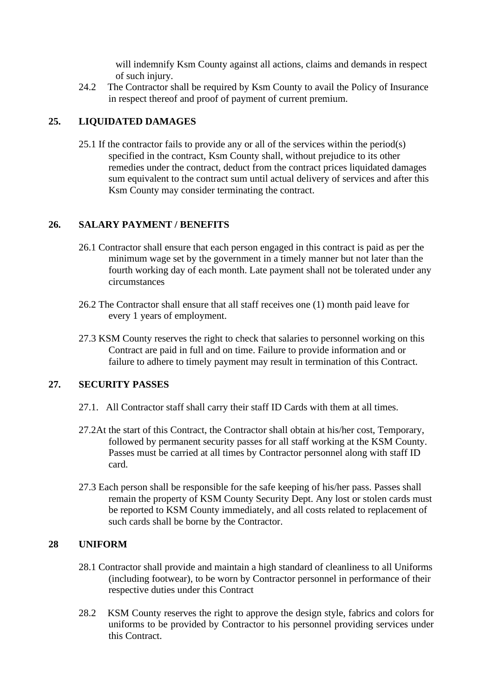will indemnify Ksm County against all actions, claims and demands in respect of such injury.

24.2 The Contractor shall be required by Ksm County to avail the Policy of Insurance in respect thereof and proof of payment of current premium.

### **25. LIQUIDATED DAMAGES**

25.1 If the contractor fails to provide any or all of the services within the period(s) specified in the contract, Ksm County shall, without prejudice to its other remedies under the contract, deduct from the contract prices liquidated damages sum equivalent to the contract sum until actual delivery of services and after this Ksm County may consider terminating the contract.

#### **26. SALARY PAYMENT / BENEFITS**

- 26.1 Contractor shall ensure that each person engaged in this contract is paid as per the minimum wage set by the government in a timely manner but not later than the fourth working day of each month. Late payment shall not be tolerated under any circumstances
- 26.2 The Contractor shall ensure that all staff receives one (1) month paid leave for every 1 years of employment.
- 27.3 KSM County reserves the right to check that salaries to personnel working on this Contract are paid in full and on time. Failure to provide information and or failure to adhere to timely payment may result in termination of this Contract.

#### **27. SECURITY PASSES**

- 27.1. All Contractor staff shall carry their staff ID Cards with them at all times.
- 27.2At the start of this Contract, the Contractor shall obtain at his/her cost, Temporary, followed by permanent security passes for all staff working at the KSM County. Passes must be carried at all times by Contractor personnel along with staff ID card.
- 27.3 Each person shall be responsible for the safe keeping of his/her pass. Passes shall remain the property of KSM County Security Dept. Any lost or stolen cards must be reported to KSM County immediately, and all costs related to replacement of such cards shall be borne by the Contractor.

#### **28 UNIFORM**

- 28.1 Contractor shall provide and maintain a high standard of cleanliness to all Uniforms (including footwear), to be worn by Contractor personnel in performance of their respective duties under this Contract
- 28.2 KSM County reserves the right to approve the design style, fabrics and colors for uniforms to be provided by Contractor to his personnel providing services under this Contract.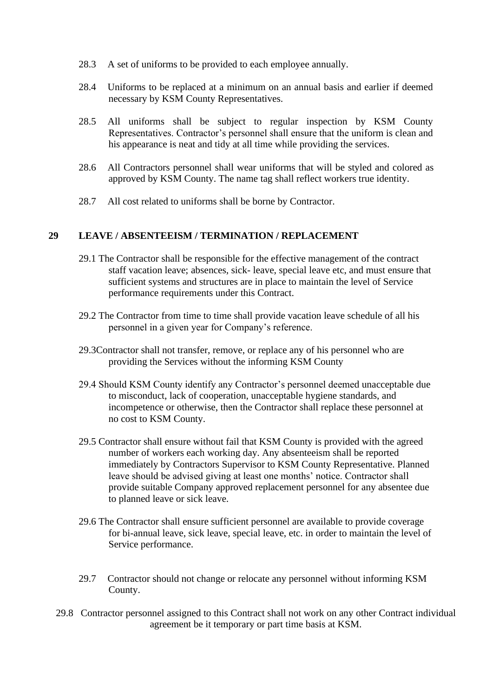- 28.3 A set of uniforms to be provided to each employee annually.
- 28.4 Uniforms to be replaced at a minimum on an annual basis and earlier if deemed necessary by KSM County Representatives.
- 28.5 All uniforms shall be subject to regular inspection by KSM County Representatives. Contractor's personnel shall ensure that the uniform is clean and his appearance is neat and tidy at all time while providing the services.
- 28.6 All Contractors personnel shall wear uniforms that will be styled and colored as approved by KSM County. The name tag shall reflect workers true identity.
- 28.7 All cost related to uniforms shall be borne by Contractor.

#### **29 LEAVE / ABSENTEEISM / TERMINATION / REPLACEMENT**

- 29.1 The Contractor shall be responsible for the effective management of the contract staff vacation leave; absences, sick- leave, special leave etc, and must ensure that sufficient systems and structures are in place to maintain the level of Service performance requirements under this Contract.
- 29.2 The Contractor from time to time shall provide vacation leave schedule of all his personnel in a given year for Company's reference.
- 29.3Contractor shall not transfer, remove, or replace any of his personnel who are providing the Services without the informing KSM County
- 29.4 Should KSM County identify any Contractor's personnel deemed unacceptable due to misconduct, lack of cooperation, unacceptable hygiene standards, and incompetence or otherwise, then the Contractor shall replace these personnel at no cost to KSM County.
- 29.5 Contractor shall ensure without fail that KSM County is provided with the agreed number of workers each working day. Any absenteeism shall be reported immediately by Contractors Supervisor to KSM County Representative. Planned leave should be advised giving at least one months' notice. Contractor shall provide suitable Company approved replacement personnel for any absentee due to planned leave or sick leave.
- 29.6 The Contractor shall ensure sufficient personnel are available to provide coverage for bi-annual leave, sick leave, special leave, etc. in order to maintain the level of Service performance.
- 29.7 Contractor should not change or relocate any personnel without informing KSM County.
- 29.8 Contractor personnel assigned to this Contract shall not work on any other Contract individual agreement be it temporary or part time basis at KSM.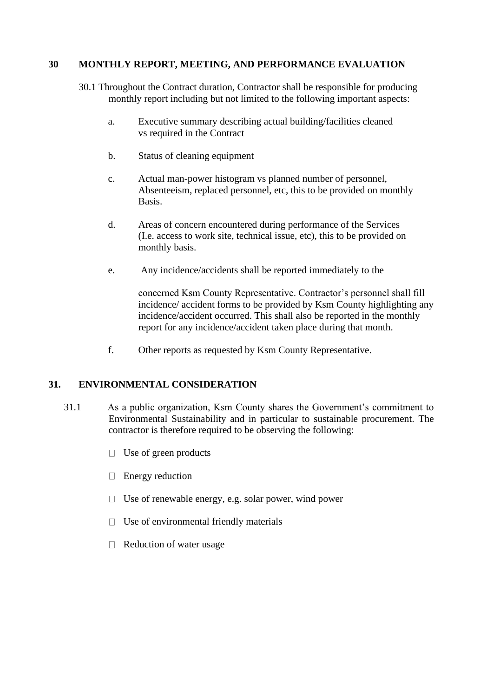#### **30 MONTHLY REPORT, MEETING, AND PERFORMANCE EVALUATION**

- 30.1 Throughout the Contract duration, Contractor shall be responsible for producing monthly report including but not limited to the following important aspects:
	- a. Executive summary describing actual building/facilities cleaned vs required in the Contract
	- b. Status of cleaning equipment
	- c. Actual man-power histogram vs planned number of personnel, Absenteeism, replaced personnel, etc, this to be provided on monthly Basis.
	- d. Areas of concern encountered during performance of the Services (I.e. access to work site, technical issue, etc), this to be provided on monthly basis.
	- e. Any incidence/accidents shall be reported immediately to the

concerned Ksm County Representative. Contractor's personnel shall fill incidence/ accident forms to be provided by Ksm County highlighting any incidence/accident occurred. This shall also be reported in the monthly report for any incidence/accident taken place during that month.

f. Other reports as requested by Ksm County Representative.

## **31. ENVIRONMENTAL CONSIDERATION**

- 31.1 As a public organization, Ksm County shares the Government's commitment to Environmental Sustainability and in particular to sustainable procurement. The contractor is therefore required to be observing the following:
	- Use of green products  $\Box$
	- $\Box$  Energy reduction
	- $\Box$  Use of renewable energy, e.g. solar power, wind power
	- $\Box$  Use of environmental friendly materials
	- $\Box$  Reduction of water usage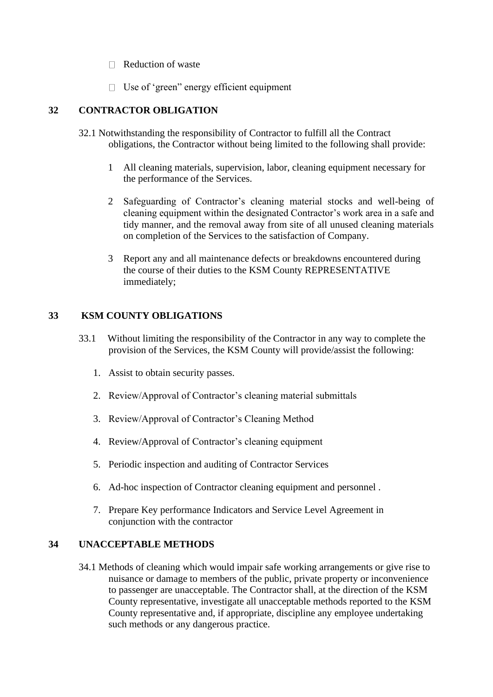- $\Box$  Reduction of waste
- $\Box$  Use of 'green'' energy efficient equipment

## **32 CONTRACTOR OBLIGATION**

- 32.1 Notwithstanding the responsibility of Contractor to fulfill all the Contract obligations, the Contractor without being limited to the following shall provide:
	- 1 All cleaning materials, supervision, labor, cleaning equipment necessary for the performance of the Services.
	- 2 Safeguarding of Contractor's cleaning material stocks and well-being of cleaning equipment within the designated Contractor's work area in a safe and tidy manner, and the removal away from site of all unused cleaning materials on completion of the Services to the satisfaction of Company.
	- 3 Report any and all maintenance defects or breakdowns encountered during the course of their duties to the KSM County REPRESENTATIVE immediately;

## **33 KSM COUNTY OBLIGATIONS**

- 33.1 Without limiting the responsibility of the Contractor in any way to complete the provision of the Services, the KSM County will provide/assist the following:
	- 1. Assist to obtain security passes.
	- 2. Review/Approval of Contractor's cleaning material submittals
	- 3. Review/Approval of Contractor's Cleaning Method
	- 4. Review/Approval of Contractor's cleaning equipment
	- 5. Periodic inspection and auditing of Contractor Services
	- 6. Ad-hoc inspection of Contractor cleaning equipment and personnel .
	- 7. Prepare Key performance Indicators and Service Level Agreement in conjunction with the contractor

## **34 UNACCEPTABLE METHODS**

34.1 Methods of cleaning which would impair safe working arrangements or give rise to nuisance or damage to members of the public, private property or inconvenience to passenger are unacceptable. The Contractor shall, at the direction of the KSM County representative, investigate all unacceptable methods reported to the KSM County representative and, if appropriate, discipline any employee undertaking such methods or any dangerous practice.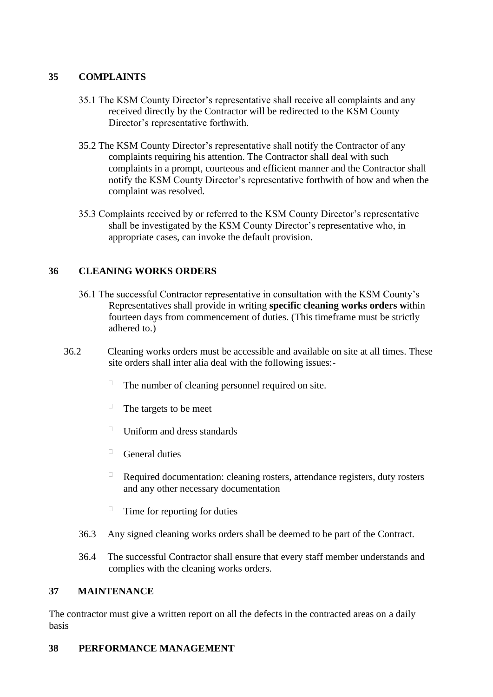## **35 COMPLAINTS**

- 35.1 The KSM County Director's representative shall receive all complaints and any received directly by the Contractor will be redirected to the KSM County Director's representative forthwith.
- 35.2 The KSM County Director's representative shall notify the Contractor of any complaints requiring his attention. The Contractor shall deal with such complaints in a prompt, courteous and efficient manner and the Contractor shall notify the KSM County Director's representative forthwith of how and when the complaint was resolved.
- 35.3 Complaints received by or referred to the KSM County Director's representative shall be investigated by the KSM County Director's representative who, in appropriate cases, can invoke the default provision.

## **36 CLEANING WORKS ORDERS**

- 36.1 The successful Contractor representative in consultation with the KSM County's Representatives shall provide in writing **specific cleaning works orders w**ithin fourteen days from commencement of duties. (This timeframe must be strictly adhered to.)
- 36.2 Cleaning works orders must be accessible and available on site at all times. These site orders shall inter alia deal with the following issues:-
	- $\Box$ The number of cleaning personnel required on site.
	- $\Box$ The targets to be meet
	- $\Box$ Uniform and dress standards
	- $\Box$ General duties
	- $\Box$ Required documentation: cleaning rosters, attendance registers, duty rosters and any other necessary documentation
	- $\Box$ Time for reporting for duties
	- 36.3 Any signed cleaning works orders shall be deemed to be part of the Contract.
	- 36.4 The successful Contractor shall ensure that every staff member understands and complies with the cleaning works orders.

## **37 MAINTENANCE**

The contractor must give a written report on all the defects in the contracted areas on a daily basis

## **38 PERFORMANCE MANAGEMENT**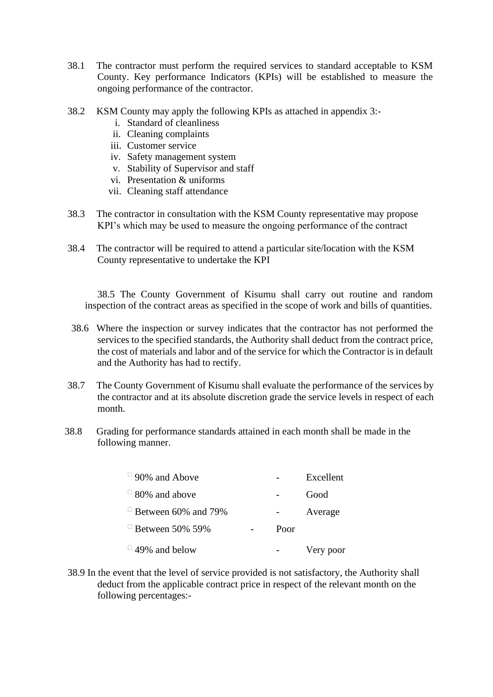- 38.1 The contractor must perform the required services to standard acceptable to KSM County. Key performance Indicators (KPIs) will be established to measure the ongoing performance of the contractor.
- 38.2 KSM County may apply the following KPIs as attached in appendix 3:
	- i. Standard of cleanliness
	- ii. Cleaning complaints
	- iii. Customer service
	- iv. Safety management system
	- v. Stability of Supervisor and staff
	- vi. Presentation & uniforms
	- vii. Cleaning staff attendance
- 38.3 The contractor in consultation with the KSM County representative may propose KPI's which may be used to measure the ongoing performance of the contract
- 38.4 The contractor will be required to attend a particular site/location with the KSM County representative to undertake the KPI

38.5 The County Government of Kisumu shall carry out routine and random inspection of the contract areas as specified in the scope of work and bills of quantities.

- 38.6 Where the inspection or survey indicates that the contractor has not performed the services to the specified standards, the Authority shall deduct from the contract price, the cost of materials and labor and of the service for which the Contractor is in default and the Authority has had to rectify.
- 38.7 The County Government of Kisumu shall evaluate the performance of the services by the contractor and at its absolute discretion grade the service levels in respect of each month.
- 38.8 Grading for performance standards attained in each month shall be made in the following manner.

| $\Box$ 90% and Above                   |      | Excellent |
|----------------------------------------|------|-----------|
| $\overline{0}$ 80% and above           |      | Good      |
| $\mathrm{u}$ Between 60% and 79%       |      | Average   |
| $\mathrm{B}$ Between 50% 59%           | Poor |           |
| $\overline{\phantom{0}}$ 49% and below |      | Very poor |

38.9 In the event that the level of service provided is not satisfactory, the Authority shall deduct from the applicable contract price in respect of the relevant month on the following percentages:-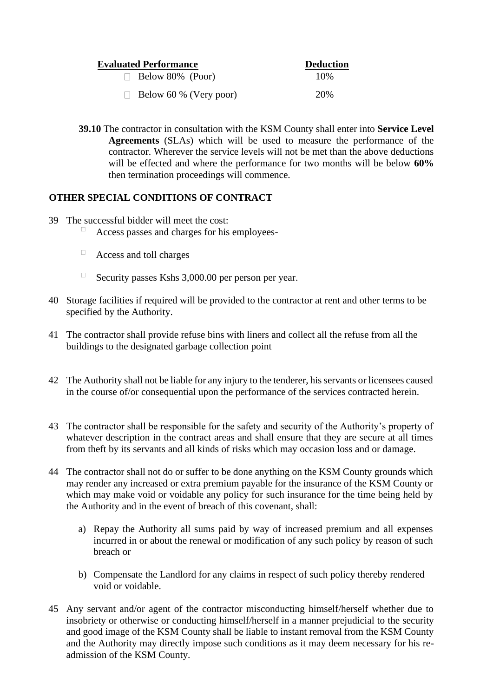| <b>Evaluated Performance</b>  | <b>Deduction</b> |
|-------------------------------|------------------|
| $\Box$ Below 80% (Poor)       | 10\%             |
| $\Box$ Below 60 % (Very poor) | 20%              |

**39.10** The contractor in consultation with the KSM County shall enter into **Service Level Agreements** (SLAs) which will be used to measure the performance of the contractor. Wherever the service levels will not be met than the above deductions will be effected and where the performance for two months will be below **60%** then termination proceedings will commence.

## **OTHER SPECIAL CONDITIONS OF CONTRACT**

- 39 The successful bidder will meet the cost:
	- Access passes and charges for his employees-
	- $\Box$ Access and toll charges
	- $\Box$ Security passes Kshs 3,000.00 per person per year.
- 40 Storage facilities if required will be provided to the contractor at rent and other terms to be specified by the Authority.
- 41 The contractor shall provide refuse bins with liners and collect all the refuse from all the buildings to the designated garbage collection point
- 42 The Authority shall not be liable for any injury to the tenderer, his servants or licensees caused in the course of/or consequential upon the performance of the services contracted herein.
- 43 The contractor shall be responsible for the safety and security of the Authority's property of whatever description in the contract areas and shall ensure that they are secure at all times from theft by its servants and all kinds of risks which may occasion loss and or damage.
- 44 The contractor shall not do or suffer to be done anything on the KSM County grounds which may render any increased or extra premium payable for the insurance of the KSM County or which may make void or voidable any policy for such insurance for the time being held by the Authority and in the event of breach of this covenant, shall:
	- a) Repay the Authority all sums paid by way of increased premium and all expenses incurred in or about the renewal or modification of any such policy by reason of such breach or
	- b) Compensate the Landlord for any claims in respect of such policy thereby rendered void or voidable.
- 45 Any servant and/or agent of the contractor misconducting himself/herself whether due to insobriety or otherwise or conducting himself/herself in a manner prejudicial to the security and good image of the KSM County shall be liable to instant removal from the KSM County and the Authority may directly impose such conditions as it may deem necessary for his readmission of the KSM County.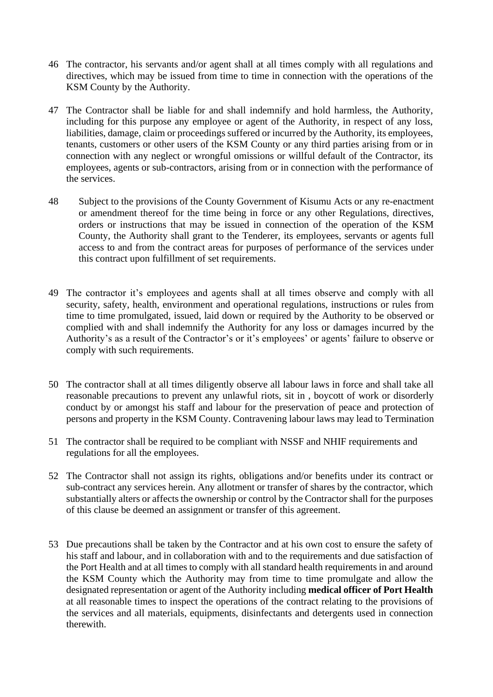- 46 The contractor, his servants and/or agent shall at all times comply with all regulations and directives, which may be issued from time to time in connection with the operations of the KSM County by the Authority.
- 47 The Contractor shall be liable for and shall indemnify and hold harmless, the Authority, including for this purpose any employee or agent of the Authority, in respect of any loss, liabilities, damage, claim or proceedings suffered or incurred by the Authority, its employees, tenants, customers or other users of the KSM County or any third parties arising from or in connection with any neglect or wrongful omissions or willful default of the Contractor, its employees, agents or sub-contractors, arising from or in connection with the performance of the services.
- 48 Subject to the provisions of the County Government of Kisumu Acts or any re-enactment or amendment thereof for the time being in force or any other Regulations, directives, orders or instructions that may be issued in connection of the operation of the KSM County, the Authority shall grant to the Tenderer, its employees, servants or agents full access to and from the contract areas for purposes of performance of the services under this contract upon fulfillment of set requirements.
- 49 The contractor it's employees and agents shall at all times observe and comply with all security, safety, health, environment and operational regulations, instructions or rules from time to time promulgated, issued, laid down or required by the Authority to be observed or complied with and shall indemnify the Authority for any loss or damages incurred by the Authority's as a result of the Contractor's or it's employees' or agents' failure to observe or comply with such requirements.
- 50 The contractor shall at all times diligently observe all labour laws in force and shall take all reasonable precautions to prevent any unlawful riots, sit in , boycott of work or disorderly conduct by or amongst his staff and labour for the preservation of peace and protection of persons and property in the KSM County. Contravening labour laws may lead to Termination
- 51 The contractor shall be required to be compliant with NSSF and NHIF requirements and regulations for all the employees.
- 52 The Contractor shall not assign its rights, obligations and/or benefits under its contract or sub-contract any services herein. Any allotment or transfer of shares by the contractor, which substantially alters or affects the ownership or control by the Contractor shall for the purposes of this clause be deemed an assignment or transfer of this agreement.
- 53 Due precautions shall be taken by the Contractor and at his own cost to ensure the safety of his staff and labour, and in collaboration with and to the requirements and due satisfaction of the Port Health and at all times to comply with all standard health requirements in and around the KSM County which the Authority may from time to time promulgate and allow the designated representation or agent of the Authority including **medical officer of Port Health**  at all reasonable times to inspect the operations of the contract relating to the provisions of the services and all materials, equipments, disinfectants and detergents used in connection therewith.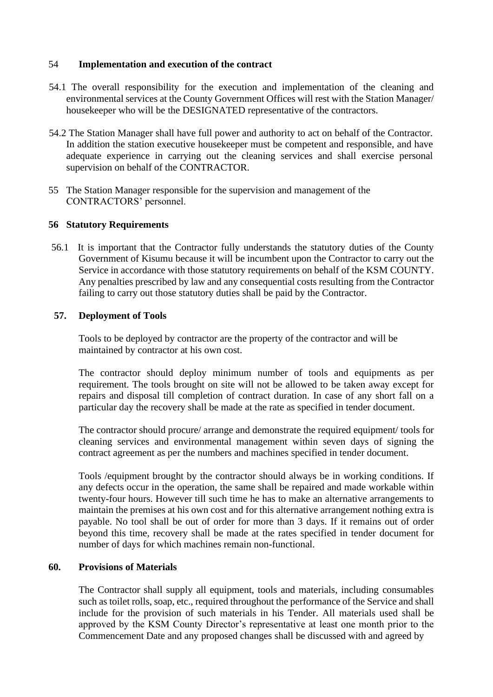#### 54 **Implementation and execution of the contract**

- 54.1 The overall responsibility for the execution and implementation of the cleaning and environmental services at the County Government Offices will rest with the Station Manager/ housekeeper who will be the DESIGNATED representative of the contractors.
- 54.2 The Station Manager shall have full power and authority to act on behalf of the Contractor. In addition the station executive housekeeper must be competent and responsible, and have adequate experience in carrying out the cleaning services and shall exercise personal supervision on behalf of the CONTRACTOR.
- 55 The Station Manager responsible for the supervision and management of the CONTRACTORS' personnel.

#### **56 Statutory Requirements**

56.1 It is important that the Contractor fully understands the statutory duties of the County Government of Kisumu because it will be incumbent upon the Contractor to carry out the Service in accordance with those statutory requirements on behalf of the KSM COUNTY. Any penalties prescribed by law and any consequential costs resulting from the Contractor failing to carry out those statutory duties shall be paid by the Contractor.

#### **57. Deployment of Tools**

Tools to be deployed by contractor are the property of the contractor and will be maintained by contractor at his own cost.

The contractor should deploy minimum number of tools and equipments as per requirement. The tools brought on site will not be allowed to be taken away except for repairs and disposal till completion of contract duration. In case of any short fall on a particular day the recovery shall be made at the rate as specified in tender document.

The contractor should procure/ arrange and demonstrate the required equipment/ tools for cleaning services and environmental management within seven days of signing the contract agreement as per the numbers and machines specified in tender document.

Tools /equipment brought by the contractor should always be in working conditions. If any defects occur in the operation, the same shall be repaired and made workable within twenty-four hours. However till such time he has to make an alternative arrangements to maintain the premises at his own cost and for this alternative arrangement nothing extra is payable. No tool shall be out of order for more than 3 days. If it remains out of order beyond this time, recovery shall be made at the rates specified in tender document for number of days for which machines remain non-functional.

#### **60. Provisions of Materials**

The Contractor shall supply all equipment, tools and materials, including consumables such as toilet rolls, soap, etc., required throughout the performance of the Service and shall include for the provision of such materials in his Tender. All materials used shall be approved by the KSM County Director's representative at least one month prior to the Commencement Date and any proposed changes shall be discussed with and agreed by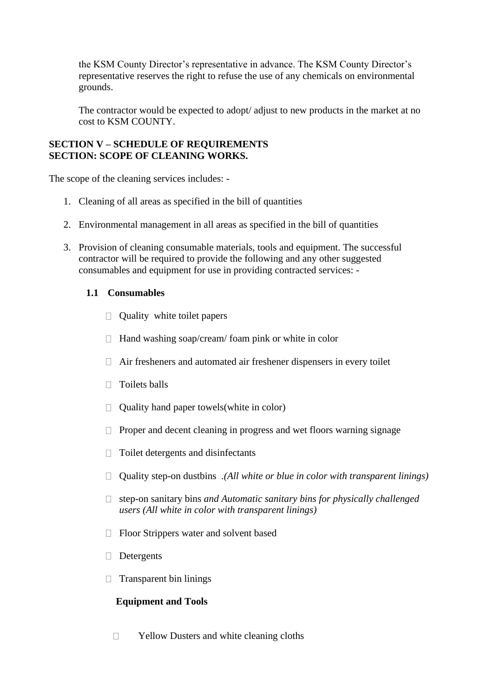the KSM County Director's representative in advance. The KSM County Director's representative reserves the right to refuse the use of any chemicals on environmental grounds.

The contractor would be expected to adopt/ adjust to new products in the market at no cost to KSM COUNTY.

#### **SECTION V – SCHEDULE OF REQUIREMENTS SECTION: SCOPE OF CLEANING WORKS.**

The scope of the cleaning services includes: -

- 1. Cleaning of all areas as specified in the bill of quantities
- 2. Environmental management in all areas as specified in the bill of quantities
- 3. Provision of cleaning consumable materials, tools and equipment. The successful contractor will be required to provide the following and any other suggested consumables and equipment for use in providing contracted services: -

#### **1.1 Consumables**

- $\Box$  Quality white toilet papers
- $\Box$  Hand washing soap/cream/ foam pink or white in color
- $\Box$  Air fresheners and automated air freshener dispensers in every toilet
- $\Box$  Toilets balls
- $\Box$  Quality hand paper towels (white in color)
- $\Box$  Proper and decent cleaning in progress and wet floors warning signage
- $\Box$  Toilet detergents and disinfectants
- Quality step-on dustbins *.(All white or blue in color with transparent linings)*
- step-on sanitary bins *and Automatic sanitary bins for physically challenged users (All white in color with transparent linings)*
- □ Floor Strippers water and solvent based
- Detergents
- $\Box$  Transparent bin linings

#### **Equipment and Tools**

 $\Box$ Yellow Dusters and white cleaning cloths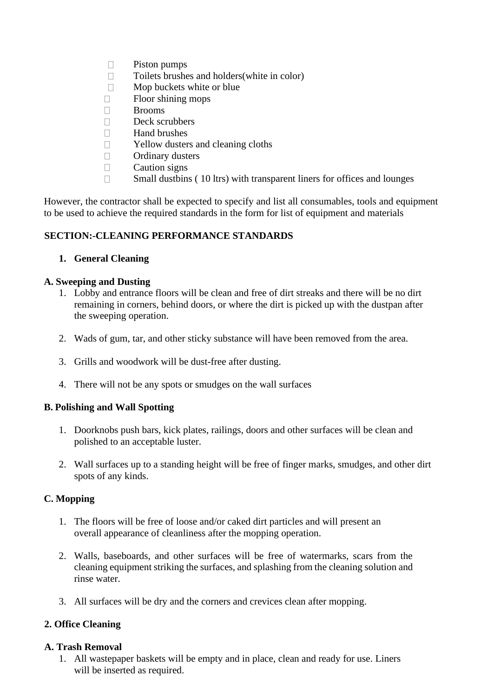- $\Box$ Piston pumps
- Toilets brushes and holders(white in color)  $\Box$
- $\Box$ Mop buckets white or blue
- Floor shining mops  $\Box$
- Brooms  $\Box$
- $\Box$ Deck scrubbers
- $\Box$ Hand brushes
- Yellow dusters and cleaning cloths  $\Box$
- $\Box$ Ordinary dusters
- $\Box$ Caution signs
- Small dustbins ( 10 ltrs) with transparent liners for offices and lounges  $\Box$

However, the contractor shall be expected to specify and list all consumables, tools and equipment to be used to achieve the required standards in the form for list of equipment and materials

#### **SECTION:-CLEANING PERFORMANCE STANDARDS**

#### **1. General Cleaning**

#### **A. Sweeping and Dusting**

- 1. Lobby and entrance floors will be clean and free of dirt streaks and there will be no dirt remaining in corners, behind doors, or where the dirt is picked up with the dustpan after the sweeping operation.
- 2. Wads of gum, tar, and other sticky substance will have been removed from the area.
- 3. Grills and woodwork will be dust-free after dusting.
- 4. There will not be any spots or smudges on the wall surfaces

#### **B. Polishing and Wall Spotting**

- 1. Doorknobs push bars, kick plates, railings, doors and other surfaces will be clean and polished to an acceptable luster.
- 2. Wall surfaces up to a standing height will be free of finger marks, smudges, and other dirt spots of any kinds.

#### **C. Mopping**

- 1. The floors will be free of loose and/or caked dirt particles and will present an overall appearance of cleanliness after the mopping operation.
- 2. Walls, baseboards, and other surfaces will be free of watermarks, scars from the cleaning equipment striking the surfaces, and splashing from the cleaning solution and rinse water.
- 3. All surfaces will be dry and the corners and crevices clean after mopping.

#### **2. Office Cleaning**

#### **A. Trash Removal**

1. All wastepaper baskets will be empty and in place, clean and ready for use. Liners will be inserted as required.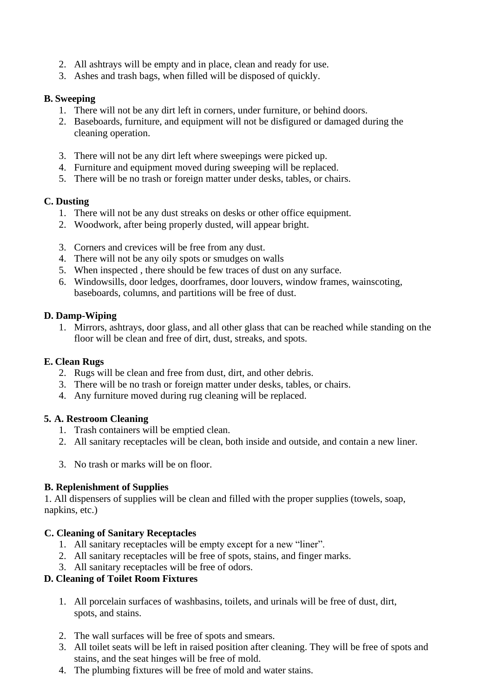- 2. All ashtrays will be empty and in place, clean and ready for use.
- 3. Ashes and trash bags, when filled will be disposed of quickly.

## **B. Sweeping**

- 1. There will not be any dirt left in corners, under furniture, or behind doors.
- 2. Baseboards, furniture, and equipment will not be disfigured or damaged during the cleaning operation.
- 3. There will not be any dirt left where sweepings were picked up.
- 4. Furniture and equipment moved during sweeping will be replaced.
- 5. There will be no trash or foreign matter under desks, tables, or chairs.

#### **C. Dusting**

- 1. There will not be any dust streaks on desks or other office equipment.
- 2. Woodwork, after being properly dusted, will appear bright.
- 3. Corners and crevices will be free from any dust.
- 4. There will not be any oily spots or smudges on walls
- 5. When inspected , there should be few traces of dust on any surface.
- 6. Windowsills, door ledges, doorframes, door louvers, window frames, wainscoting, baseboards, columns, and partitions will be free of dust.

#### **D. Damp-Wiping**

1. Mirrors, ashtrays, door glass, and all other glass that can be reached while standing on the floor will be clean and free of dirt, dust, streaks, and spots.

#### **E. Clean Rugs**

- 2. Rugs will be clean and free from dust, dirt, and other debris.
- 3. There will be no trash or foreign matter under desks, tables, or chairs.
- 4. Any furniture moved during rug cleaning will be replaced.

## **5. A. Restroom Cleaning**

- 1. Trash containers will be emptied clean.
- 2. All sanitary receptacles will be clean, both inside and outside, and contain a new liner.
- 3. No trash or marks will be on floor.

## **B. Replenishment of Supplies**

1. All dispensers of supplies will be clean and filled with the proper supplies (towels, soap, napkins, etc.)

## **C. Cleaning of Sanitary Receptacles**

- 1. All sanitary receptacles will be empty except for a new "liner".
- 2. All sanitary receptacles will be free of spots, stains, and finger marks.
- 3. All sanitary receptacles will be free of odors.

## **D. Cleaning of Toilet Room Fixtures**

- 1. All porcelain surfaces of washbasins, toilets, and urinals will be free of dust, dirt, spots, and stains.
- 2. The wall surfaces will be free of spots and smears.
- 3. All toilet seats will be left in raised position after cleaning. They will be free of spots and stains, and the seat hinges will be free of mold.
- 4. The plumbing fixtures will be free of mold and water stains.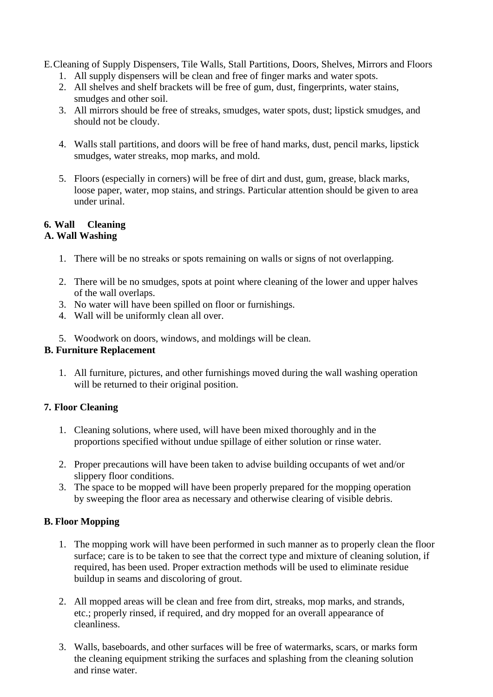E.Cleaning of Supply Dispensers, Tile Walls, Stall Partitions, Doors, Shelves, Mirrors and Floors

- 1. All supply dispensers will be clean and free of finger marks and water spots.
- 2. All shelves and shelf brackets will be free of gum, dust, fingerprints, water stains, smudges and other soil.
- 3. All mirrors should be free of streaks, smudges, water spots, dust; lipstick smudges, and should not be cloudy.
- 4. Walls stall partitions, and doors will be free of hand marks, dust, pencil marks, lipstick smudges, water streaks, mop marks, and mold.
- 5. Floors (especially in corners) will be free of dirt and dust, gum, grease, black marks, loose paper, water, mop stains, and strings. Particular attention should be given to area under urinal.

## **6. Wall Cleaning**

## **A. Wall Washing**

- 1. There will be no streaks or spots remaining on walls or signs of not overlapping.
- 2. There will be no smudges, spots at point where cleaning of the lower and upper halves of the wall overlaps.
- 3. No water will have been spilled on floor or furnishings.
- 4. Wall will be uniformly clean all over.
- 5. Woodwork on doors, windows, and moldings will be clean.

## **B. Furniture Replacement**

1. All furniture, pictures, and other furnishings moved during the wall washing operation will be returned to their original position.

## **7. Floor Cleaning**

- 1. Cleaning solutions, where used, will have been mixed thoroughly and in the proportions specified without undue spillage of either solution or rinse water.
- 2. Proper precautions will have been taken to advise building occupants of wet and/or slippery floor conditions.
- 3. The space to be mopped will have been properly prepared for the mopping operation by sweeping the floor area as necessary and otherwise clearing of visible debris.

## **B. Floor Mopping**

- 1. The mopping work will have been performed in such manner as to properly clean the floor surface; care is to be taken to see that the correct type and mixture of cleaning solution, if required, has been used. Proper extraction methods will be used to eliminate residue buildup in seams and discoloring of grout.
- 2. All mopped areas will be clean and free from dirt, streaks, mop marks, and strands, etc.; properly rinsed, if required, and dry mopped for an overall appearance of cleanliness.
- 3. Walls, baseboards, and other surfaces will be free of watermarks, scars, or marks form the cleaning equipment striking the surfaces and splashing from the cleaning solution and rinse water.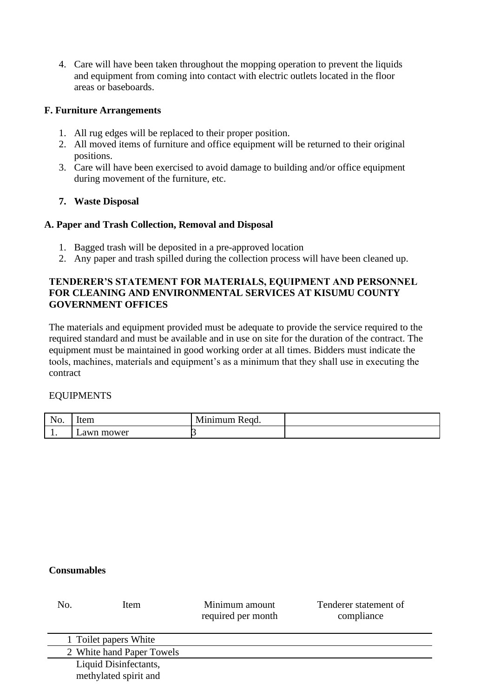4. Care will have been taken throughout the mopping operation to prevent the liquids and equipment from coming into contact with electric outlets located in the floor areas or baseboards.

#### **F. Furniture Arrangements**

- 1. All rug edges will be replaced to their proper position.
- 2. All moved items of furniture and office equipment will be returned to their original positions.
- 3. Care will have been exercised to avoid damage to building and/or office equipment during movement of the furniture, etc.

## **7. Waste Disposal**

#### **A. Paper and Trash Collection, Removal and Disposal**

- 1. Bagged trash will be deposited in a pre-approved location
- 2. Any paper and trash spilled during the collection process will have been cleaned up.

## **TENDERER'S STATEMENT FOR MATERIALS, EQUIPMENT AND PERSONNEL FOR CLEANING AND ENVIRONMENTAL SERVICES AT KISUMU COUNTY GOVERNMENT OFFICES**

The materials and equipment provided must be adequate to provide the service required to the required standard and must be available and in use on site for the duration of the contract. The equipment must be maintained in good working order at all times. Bidders must indicate the tools, machines, materials and equipment's as a minimum that they shall use in executing the contract

#### EQUIPMENTS

| . –<br>110. | ----<br>TICITI<br>__  | - -<br>$\sim$ |  |
|-------------|-----------------------|---------------|--|
| . .         | mower<br>awn<br>$  -$ |               |  |

#### **Consumables**

| No. | Item                                           | Minimum amount<br>required per month | Tenderer statement of<br>compliance |
|-----|------------------------------------------------|--------------------------------------|-------------------------------------|
|     | 1 Toilet papers White                          |                                      |                                     |
|     | 2 White hand Paper Towels                      |                                      |                                     |
|     | Liquid Disinfectants,<br>methylated spirit and |                                      |                                     |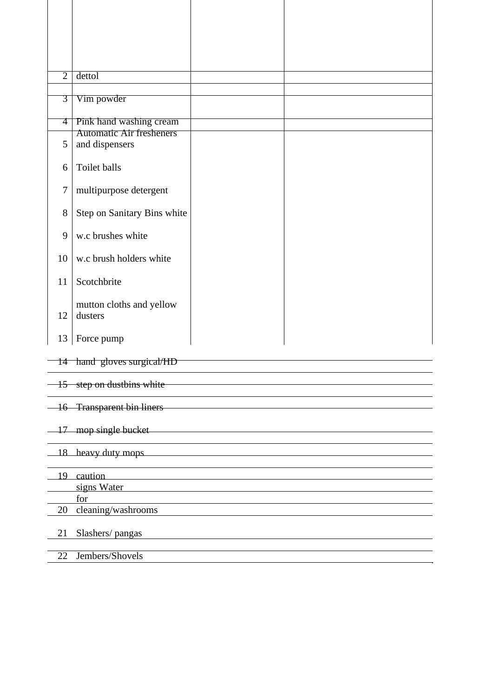| $\overline{2}$ | dettol                                                                                                                                                                                                                         |  |
|----------------|--------------------------------------------------------------------------------------------------------------------------------------------------------------------------------------------------------------------------------|--|
|                |                                                                                                                                                                                                                                |  |
| 3              | Vim powder                                                                                                                                                                                                                     |  |
|                |                                                                                                                                                                                                                                |  |
| 4              | Pink hand washing cream                                                                                                                                                                                                        |  |
|                | <b>Automatic Air fresheners</b>                                                                                                                                                                                                |  |
| 5              | and dispensers                                                                                                                                                                                                                 |  |
|                |                                                                                                                                                                                                                                |  |
| 6              | Toilet balls                                                                                                                                                                                                                   |  |
|                |                                                                                                                                                                                                                                |  |
| $\overline{7}$ | multipurpose detergent                                                                                                                                                                                                         |  |
|                |                                                                                                                                                                                                                                |  |
| 8              |                                                                                                                                                                                                                                |  |
|                | Step on Sanitary Bins white                                                                                                                                                                                                    |  |
|                |                                                                                                                                                                                                                                |  |
| 9              | w.c brushes white                                                                                                                                                                                                              |  |
|                |                                                                                                                                                                                                                                |  |
| 10             | w.c brush holders white                                                                                                                                                                                                        |  |
|                |                                                                                                                                                                                                                                |  |
| 11             | Scotchbrite                                                                                                                                                                                                                    |  |
|                |                                                                                                                                                                                                                                |  |
|                | mutton cloths and yellow                                                                                                                                                                                                       |  |
| 12             | dusters                                                                                                                                                                                                                        |  |
|                |                                                                                                                                                                                                                                |  |
| 13             | Force pump                                                                                                                                                                                                                     |  |
|                |                                                                                                                                                                                                                                |  |
|                | 14 hand gloves surgical/HD                                                                                                                                                                                                     |  |
|                |                                                                                                                                                                                                                                |  |
|                | $-15$ step on dustbins white                                                                                                                                                                                                   |  |
|                |                                                                                                                                                                                                                                |  |
|                | -16 Transparent bin liners                                                                                                                                                                                                     |  |
|                |                                                                                                                                                                                                                                |  |
|                | 17 mop single bucket                                                                                                                                                                                                           |  |
|                |                                                                                                                                                                                                                                |  |
|                | 18 heavy duty mops and the same state of the state of the state of the state of the state of the state of the state of the state of the state of the state of the state of the state of the state of the state of the state of |  |
|                |                                                                                                                                                                                                                                |  |
|                | 19 caution                                                                                                                                                                                                                     |  |
|                | signs Water <b>Strategies</b> Water                                                                                                                                                                                            |  |
|                | for                                                                                                                                                                                                                            |  |
| 20             | <u> 1989 - Johann Stoff, deutscher Stoff, der Stoff, der Stoff, der Stoff, der Stoff, der Stoff, der Stoff, der S</u><br>cleaning/washrooms                                                                                    |  |
|                |                                                                                                                                                                                                                                |  |
|                |                                                                                                                                                                                                                                |  |
| 21             | Slashers/pangas                                                                                                                                                                                                                |  |
|                |                                                                                                                                                                                                                                |  |
| 22             | Jembers/Shovels                                                                                                                                                                                                                |  |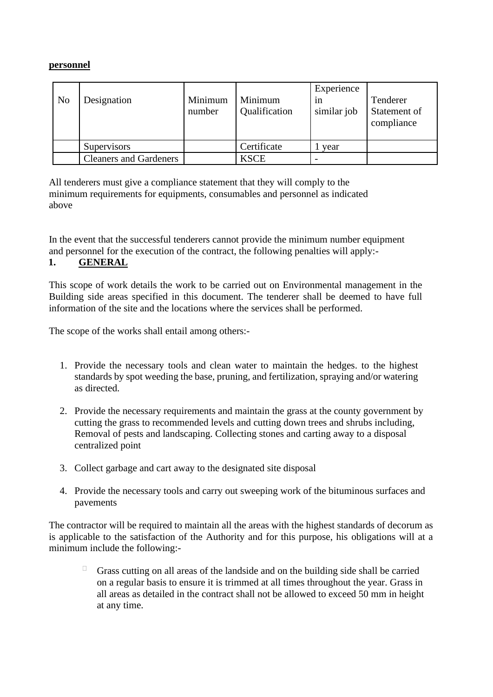#### **personnel**

| N <sub>o</sub> | Designation                   | Minimum<br>number | Minimum<br>Qualification | Experience<br>1n<br>similar job | Tenderer<br>Statement of<br>compliance |
|----------------|-------------------------------|-------------------|--------------------------|---------------------------------|----------------------------------------|
|                | <i>Supervisors</i>            |                   | Certificate              | year                            |                                        |
|                | <b>Cleaners</b> and Gardeners |                   | <b>KSCE</b>              |                                 |                                        |

All tenderers must give a compliance statement that they will comply to the minimum requirements for equipments, consumables and personnel as indicated above

In the event that the successful tenderers cannot provide the minimum number equipment and personnel for the execution of the contract, the following penalties will apply:-

## **1. GENERAL**

This scope of work details the work to be carried out on Environmental management in the Building side areas specified in this document. The tenderer shall be deemed to have full information of the site and the locations where the services shall be performed.

The scope of the works shall entail among others:-

- 1. Provide the necessary tools and clean water to maintain the hedges. to the highest standards by spot weeding the base, pruning, and fertilization, spraying and/or watering as directed.
- 2. Provide the necessary requirements and maintain the grass at the county government by cutting the grass to recommended levels and cutting down trees and shrubs including, Removal of pests and landscaping. Collecting stones and carting away to a disposal centralized point
- 3. Collect garbage and cart away to the designated site disposal
- 4. Provide the necessary tools and carry out sweeping work of the bituminous surfaces and pavements

The contractor will be required to maintain all the areas with the highest standards of decorum as is applicable to the satisfaction of the Authority and for this purpose, his obligations will at a minimum include the following:-

Grass cutting on all areas of the landside and on the building side shall be carried on a regular basis to ensure it is trimmed at all times throughout the year. Grass in all areas as detailed in the contract shall not be allowed to exceed 50 mm in height at any time.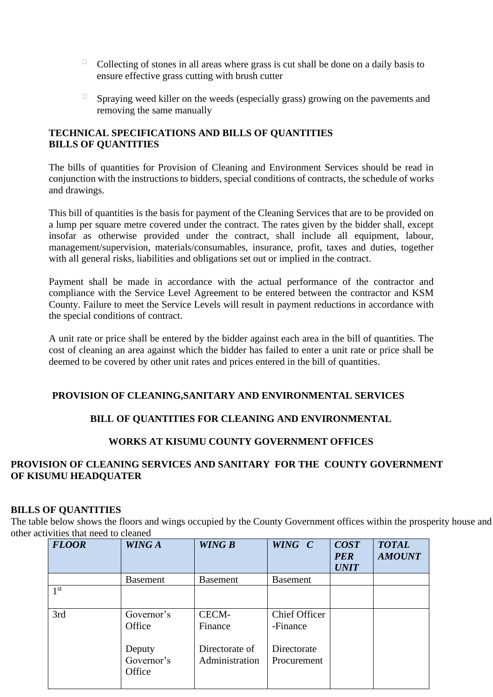- $\Box$ Collecting of stones in all areas where grass is cut shall be done on a daily basis to ensure effective grass cutting with brush cutter
- $\Box$ Spraying weed killer on the weeds (especially grass) growing on the pavements and removing the same manually

### **TECHNICAL SPECIFICATIONS AND BILLS OF QUANTITIES BILLS OF QUANTITIES**

The bills of quantities for Provision of Cleaning and Environment Services should be read in conjunction with the instructions to bidders, special conditions of contracts, the schedule of works and drawings.

This bill of quantities is the basis for payment of the Cleaning Services that are to be provided on a lump per square metre covered under the contract. The rates given by the bidder shall, except insofar as otherwise provided under the contract, shall include all equipment, labour, management/supervision, materials/consumables, insurance, profit, taxes and duties, together with all general risks, liabilities and obligations set out or implied in the contract.

Payment shall be made in accordance with the actual performance of the contractor and compliance with the Service Level Agreement to be entered between the contractor and KSM County. Failure to meet the Service Levels will result in payment reductions in accordance with the special conditions of contract.

A unit rate or price shall be entered by the bidder against each area in the bill of quantities. The cost of cleaning an area against which the bidder has failed to enter a unit rate or price shall be deemed to be covered by other unit rates and prices entered in the bill of quantities.

## **PROVISION OF CLEANING,SANITARY AND ENVIRONMENTAL SERVICES**

## **BILL OF QUANTITIES FOR CLEANING AND ENVIRONMENTAL**

## **WORKS AT KISUMU COUNTY GOVERNMENT OFFICES**

## **PROVISION OF CLEANING SERVICES AND SANITARY FOR THE COUNTY GOVERNMENT OF KISUMU HEADQUATER**

#### **BILLS OF QUANTITIES**

The table below shows the floors and wings occupied by the County Government offices within the prosperity house and other activities that need to cleaned

| <b>FLOOR</b>    | WING A                         | <b>WING B</b>                    | WING C                           | <b>COST</b><br><b>PER</b><br><b>UNIT</b> | <b>TOTAL</b><br><b>AMOUNT</b> |
|-----------------|--------------------------------|----------------------------------|----------------------------------|------------------------------------------|-------------------------------|
|                 | <b>Basement</b>                | <b>Basement</b>                  | <b>Basement</b>                  |                                          |                               |
| 1 <sup>st</sup> |                                |                                  |                                  |                                          |                               |
| 3rd             | Governor's<br>Office           | CECM-<br>Finance                 | <b>Chief Officer</b><br>-Finance |                                          |                               |
|                 | Deputy<br>Governor's<br>Office | Directorate of<br>Administration | Directorate<br>Procurement       |                                          |                               |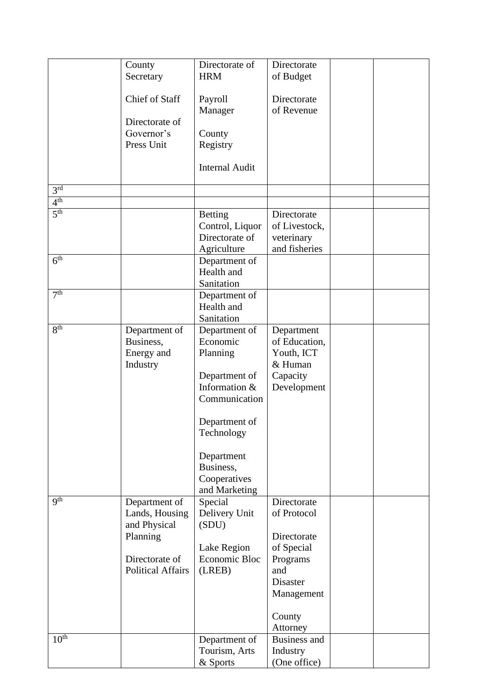|                     | County                   | Directorate of          | Directorate         |  |
|---------------------|--------------------------|-------------------------|---------------------|--|
|                     | Secretary                | <b>HRM</b>              | of Budget           |  |
|                     |                          |                         |                     |  |
|                     | Chief of Staff           | Payroll                 | Directorate         |  |
|                     |                          | Manager                 | of Revenue          |  |
|                     | Directorate of           |                         |                     |  |
|                     | Governor's               | County                  |                     |  |
|                     | Press Unit               | Registry                |                     |  |
|                     |                          |                         |                     |  |
|                     |                          | <b>Internal Audit</b>   |                     |  |
|                     |                          |                         |                     |  |
| 3 <sup>rd</sup>     |                          |                         |                     |  |
| 4 <sup>th</sup>     |                          |                         |                     |  |
| 5 <sup>th</sup>     |                          | <b>Betting</b>          | Directorate         |  |
|                     |                          | Control, Liquor         | of Livestock,       |  |
|                     |                          | Directorate of          | veterinary          |  |
|                     |                          | Agriculture             | and fisheries       |  |
| $\overline{6^{th}}$ |                          | Department of           |                     |  |
|                     |                          | Health and              |                     |  |
|                     |                          | Sanitation              |                     |  |
| 7 <sup>th</sup>     |                          | Department of           |                     |  |
|                     |                          | Health and              |                     |  |
|                     |                          | Sanitation              |                     |  |
| 8 <sup>th</sup>     | Department of            | Department of           | Department          |  |
|                     | Business,                | Economic                | of Education,       |  |
|                     | Energy and               | Planning                | Youth, ICT          |  |
|                     | Industry                 |                         | & Human             |  |
|                     |                          | Department of           | Capacity            |  |
|                     |                          | Information &           | Development         |  |
|                     |                          | Communication           |                     |  |
|                     |                          |                         |                     |  |
|                     |                          | Department of           |                     |  |
|                     |                          | Technology              |                     |  |
|                     |                          |                         |                     |  |
|                     |                          | Department<br>Business, |                     |  |
|                     |                          | Cooperatives            |                     |  |
|                     |                          | and Marketing           |                     |  |
| <b>gth</b>          | Department of            | Special                 | Directorate         |  |
|                     | Lands, Housing           | Delivery Unit           | of Protocol         |  |
|                     | and Physical             | (SDU)                   |                     |  |
|                     | Planning                 |                         | Directorate         |  |
|                     |                          | Lake Region             | of Special          |  |
|                     | Directorate of           | Economic Bloc           | Programs            |  |
|                     | <b>Political Affairs</b> | (LREB)                  | and                 |  |
|                     |                          |                         | Disaster            |  |
|                     |                          |                         | Management          |  |
|                     |                          |                         |                     |  |
|                     |                          |                         | County              |  |
|                     |                          |                         | Attorney            |  |
| 10 <sup>th</sup>    |                          | Department of           | <b>Business and</b> |  |
|                     |                          | Tourism, Arts           | Industry            |  |
|                     |                          | & Sports                | (One office)        |  |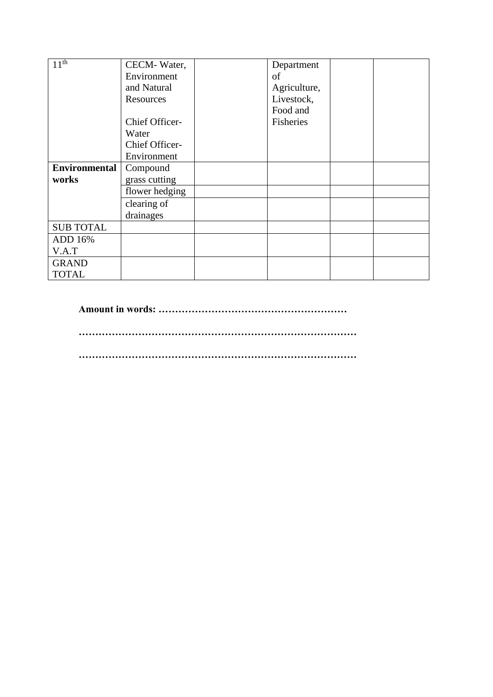| 11 <sup>th</sup>     | CECM-Water,    | Department   |  |
|----------------------|----------------|--------------|--|
|                      | Environment    | of           |  |
|                      | and Natural    | Agriculture, |  |
|                      | Resources      | Livestock,   |  |
|                      |                | Food and     |  |
|                      | Chief Officer- | Fisheries    |  |
|                      | Water          |              |  |
|                      | Chief Officer- |              |  |
|                      | Environment    |              |  |
| <b>Environmental</b> | Compound       |              |  |
| works                | grass cutting  |              |  |
|                      | flower hedging |              |  |
|                      | clearing of    |              |  |
|                      | drainages      |              |  |
| <b>SUB TOTAL</b>     |                |              |  |
| ADD 16%              |                |              |  |
| V.A.T                |                |              |  |
| <b>GRAND</b>         |                |              |  |
| <b>TOTAL</b>         |                |              |  |

**Amount in words: …………………………………………………**

**…………………………………………………………………………**

**…………………………………………………………………………**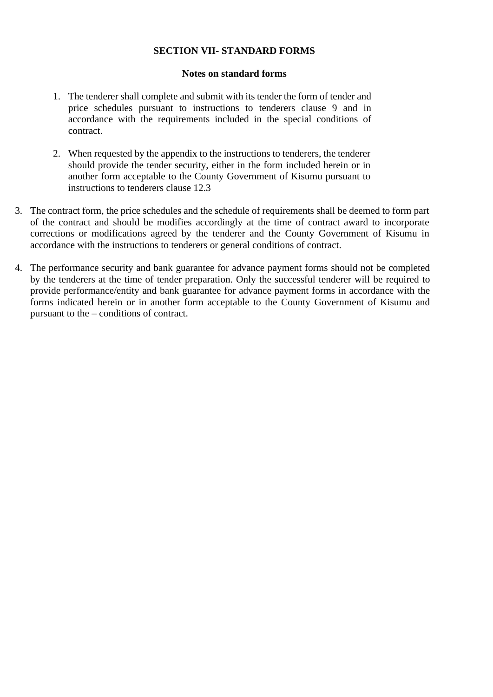#### **SECTION VII- STANDARD FORMS**

#### **Notes on standard forms**

- 1. The tenderer shall complete and submit with its tender the form of tender and price schedules pursuant to instructions to tenderers clause 9 and in accordance with the requirements included in the special conditions of contract.
- 2. When requested by the appendix to the instructions to tenderers, the tenderer should provide the tender security, either in the form included herein or in another form acceptable to the County Government of Kisumu pursuant to instructions to tenderers clause 12.3
- 3. The contract form, the price schedules and the schedule of requirements shall be deemed to form part of the contract and should be modifies accordingly at the time of contract award to incorporate corrections or modifications agreed by the tenderer and the County Government of Kisumu in accordance with the instructions to tenderers or general conditions of contract.
- 4. The performance security and bank guarantee for advance payment forms should not be completed by the tenderers at the time of tender preparation. Only the successful tenderer will be required to provide performance/entity and bank guarantee for advance payment forms in accordance with the forms indicated herein or in another form acceptable to the County Government of Kisumu and pursuant to the – conditions of contract.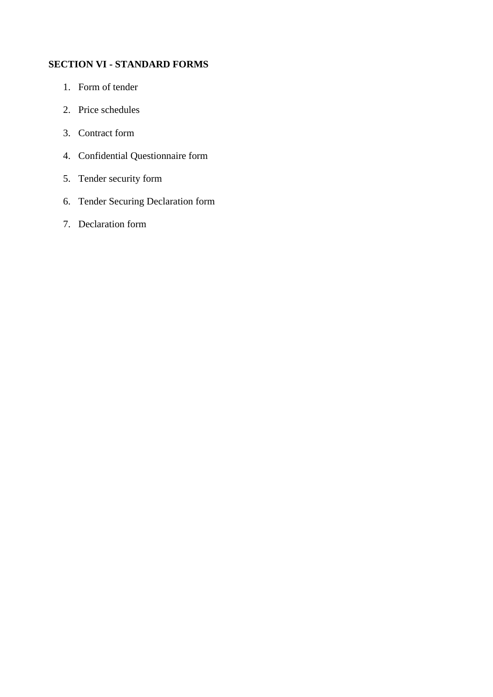## **SECTION VI - STANDARD FORMS**

- 1. Form of tender
- 2. Price schedules
- 3. Contract form
- 4. Confidential Questionnaire form
- 5. Tender security form
- 6. Tender Securing Declaration form
- 7. Declaration form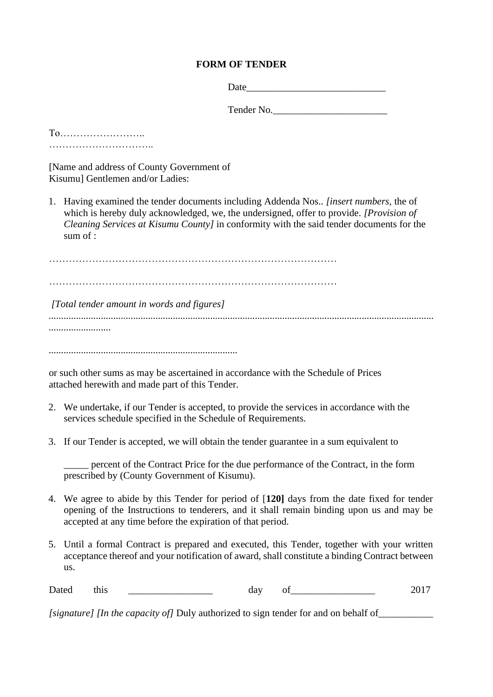## **FORM OF TENDER**

Tender No.

To…………………….. …………………………..

[Name and address of County Government of Kisumu] Gentlemen and/or Ladies:

1. Having examined the tender documents including Addenda Nos.. *[insert numbers,* the of which is hereby duly acknowledged, we, the undersigned, offer to provide. *[Provision of Cleaning Services at Kisumu County]* in conformity with the said tender documents for the sum of :

…………………………………………………………………………… ……………………………………………………………………………

*[Total tender amount in words and figures]*

*........................................................................................................................................................... .........................*

*............................................................................*

or such other sums as may be ascertained in accordance with the Schedule of Prices attached herewith and made part of this Tender.

- 2. We undertake, if our Tender is accepted, to provide the services in accordance with the services schedule specified in the Schedule of Requirements.
- 3. If our Tender is accepted, we will obtain the tender guarantee in a sum equivalent to

\_\_\_\_\_ percent of the Contract Price for the due performance of the Contract, in the form prescribed by (County Government of Kisumu).

- 4. We agree to abide by this Tender for period of [**120]** days from the date fixed for tender opening of the Instructions to tenderers, and it shall remain binding upon us and may be accepted at any time before the expiration of that period.
- 5. Until a formal Contract is prepared and executed, this Tender, together with your written acceptance thereof and your notification of award, shall constitute a binding Contract between us.

Dated this day of 2017

*[signature] [In the capacity of]* Duly authorized to sign tender for and on behalf of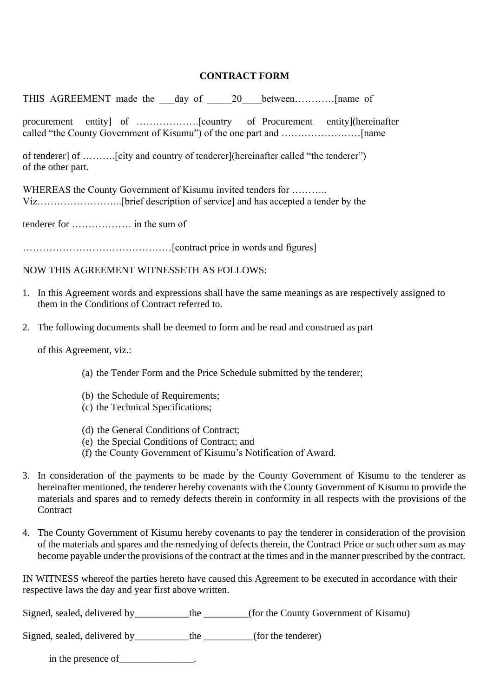## **CONTRACT FORM**

THIS AGREEMENT made the \_\_\_day of \_\_\_\_\_20\_\_\_\_between…………[name of

procurement entity] of ……………….[country of Procurement entity](hereinafter called "the County Government of Kisumu") of the one part and ……………………[name

of tenderer] of ……….[city and country of tenderer](hereinafter called "the tenderer") of the other part.

WHEREAS the County Government of Kisumu invited tenders for ........... Viz……………………..[brief description of service] and has accepted a tender by the

tenderer for ……………… in the sum of

………………………………………[contract price in words and figures]

NOW THIS AGREEMENT WITNESSETH AS FOLLOWS:

- 1. In this Agreement words and expressions shall have the same meanings as are respectively assigned to them in the Conditions of Contract referred to.
- 2. The following documents shall be deemed to form and be read and construed as part

of this Agreement, viz.:

- (a) the Tender Form and the Price Schedule submitted by the tenderer;
- (b) the Schedule of Requirements;
- (c) the Technical Specifications;
- (d) the General Conditions of Contract;
- (e) the Special Conditions of Contract; and
- (f) the County Government of Kisumu's Notification of Award.
- 3. In consideration of the payments to be made by the County Government of Kisumu to the tenderer as hereinafter mentioned, the tenderer hereby covenants with the County Government of Kisumu to provide the materials and spares and to remedy defects therein in conformity in all respects with the provisions of the **Contract**
- 4. The County Government of Kisumu hereby covenants to pay the tenderer in consideration of the provision of the materials and spares and the remedying of defects therein, the Contract Price or such other sum as may become payable under the provisions of the contract at the times and in the manner prescribed by the contract.

IN WITNESS whereof the parties hereto have caused this Agreement to be executed in accordance with their respective laws the day and year first above written.

Signed, sealed, delivered by \_\_\_\_\_\_\_\_\_the \_\_\_\_\_\_\_(for the County Government of Kisumu)

Signed, sealed, delivered by\_\_\_\_\_\_\_\_\_\_\_the \_\_\_\_\_\_\_\_(for the tenderer)

in the presence of  $\blacksquare$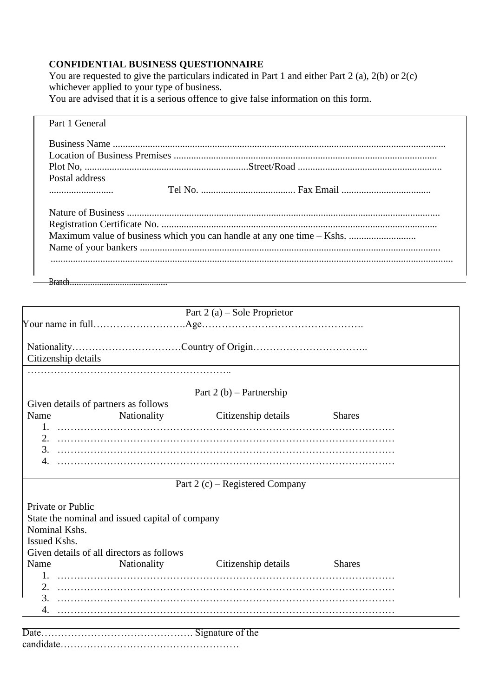## **CONFIDENTIAL BUSINESS QUESTIONNAIRE**

You are requested to give the particulars indicated in Part 1 and either Part 2 (a), 2(b) or 2(c) whichever applied to your type of business.

You are advised that it is a serious offence to give false information on this form.

| Part 1 General |                                                                        |
|----------------|------------------------------------------------------------------------|
|                |                                                                        |
|                |                                                                        |
|                |                                                                        |
| Postal address |                                                                        |
|                |                                                                        |
|                |                                                                        |
|                |                                                                        |
|                | Maximum value of business which you can handle at any one time – Kshs. |
|                |                                                                        |
|                |                                                                        |
|                |                                                                        |
|                |                                                                        |

|                             |                                                 | Part 2 (a) – Sole Proprietor                                                                                                                                                                                                                                                                                                    |               |  |
|-----------------------------|-------------------------------------------------|---------------------------------------------------------------------------------------------------------------------------------------------------------------------------------------------------------------------------------------------------------------------------------------------------------------------------------|---------------|--|
|                             |                                                 |                                                                                                                                                                                                                                                                                                                                 |               |  |
| Citizenship details         |                                                 |                                                                                                                                                                                                                                                                                                                                 |               |  |
|                             |                                                 |                                                                                                                                                                                                                                                                                                                                 |               |  |
|                             |                                                 | Part $2(b)$ – Partnership                                                                                                                                                                                                                                                                                                       |               |  |
|                             | Given details of partners as follows            |                                                                                                                                                                                                                                                                                                                                 |               |  |
| Name                        | Nationality                                     | Citizenship details                                                                                                                                                                                                                                                                                                             | <b>Shares</b> |  |
|                             |                                                 |                                                                                                                                                                                                                                                                                                                                 |               |  |
| 2.                          |                                                 |                                                                                                                                                                                                                                                                                                                                 |               |  |
|                             |                                                 |                                                                                                                                                                                                                                                                                                                                 |               |  |
| 4.                          |                                                 |                                                                                                                                                                                                                                                                                                                                 |               |  |
|                             |                                                 | Part 2 $(c)$ – Registered Company                                                                                                                                                                                                                                                                                               |               |  |
|                             |                                                 |                                                                                                                                                                                                                                                                                                                                 |               |  |
| Private or Public           |                                                 |                                                                                                                                                                                                                                                                                                                                 |               |  |
|                             | State the nominal and issued capital of company |                                                                                                                                                                                                                                                                                                                                 |               |  |
| Nominal Kshs.               |                                                 |                                                                                                                                                                                                                                                                                                                                 |               |  |
| Issued Kshs.                |                                                 |                                                                                                                                                                                                                                                                                                                                 |               |  |
|                             | Given details of all directors as follows       |                                                                                                                                                                                                                                                                                                                                 |               |  |
| Name                        |                                                 | Nationality Citizenship details                                                                                                                                                                                                                                                                                                 | <b>Shares</b> |  |
|                             |                                                 |                                                                                                                                                                                                                                                                                                                                 |               |  |
|                             |                                                 |                                                                                                                                                                                                                                                                                                                                 |               |  |
| 3.                          |                                                 |                                                                                                                                                                                                                                                                                                                                 |               |  |
| 4.                          |                                                 |                                                                                                                                                                                                                                                                                                                                 |               |  |
| $\mathbf{D}$ . $\mathbf{L}$ |                                                 | $\mathcal{C}$ . $\mathcal{C}$ . $\mathcal{C}$ . $\mathcal{C}$ . $\mathcal{C}$ . $\mathcal{C}$ . $\mathcal{C}$ . $\mathcal{C}$ . $\mathcal{C}$ . $\mathcal{C}$ . $\mathcal{C}$ . $\mathcal{C}$ . $\mathcal{C}$ . $\mathcal{C}$ . $\mathcal{C}$ . $\mathcal{C}$ . $\mathcal{C}$ . $\mathcal{C}$ . $\mathcal{C}$ . $\mathcal{C}$ . |               |  |

Date………………………………………. Signature of the candidate………………………………………………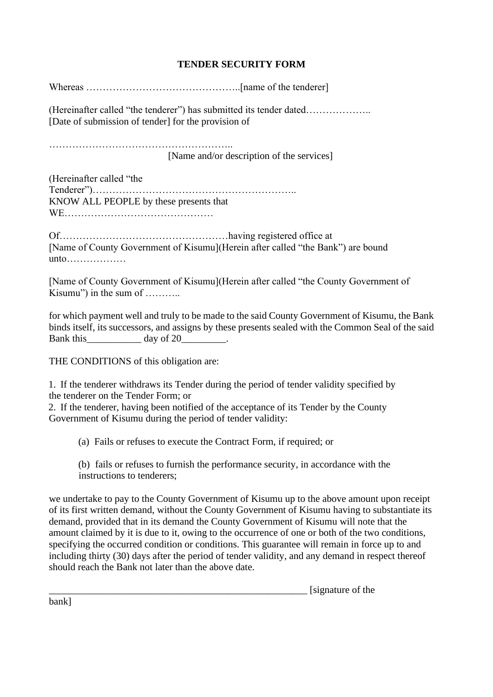## **TENDER SECURITY FORM**

Whereas ………………………………………..[name of the tenderer]

(Hereinafter called "the tenderer") has submitted its tender dated……………….. [Date of submission of tender] for the provision of

……………………………………………….. [Name and/or description of the services]

(Hereinafter called "the Tenderer")…………………………………………………….. KNOW ALL PEOPLE by these presents that WE………………………………………

Of……………………………………………having registered office at [Name of County Government of Kisumu](Herein after called "the Bank") are bound unto………………

[Name of County Government of Kisumu](Herein after called "the County Government of Kisumu") in the sum of ………..

for which payment well and truly to be made to the said County Government of Kisumu, the Bank binds itself, its successors, and assigns by these presents sealed with the Common Seal of the said Bank this \_\_\_\_\_\_\_\_\_\_\_\_\_\_\_ day of 20\_\_\_\_\_\_\_\_\_.

THE CONDITIONS of this obligation are:

1. If the tenderer withdraws its Tender during the period of tender validity specified by the tenderer on the Tender Form; or

2. If the tenderer, having been notified of the acceptance of its Tender by the County Government of Kisumu during the period of tender validity:

(a) Fails or refuses to execute the Contract Form, if required; or

(b) fails or refuses to furnish the performance security, in accordance with the instructions to tenderers;

we undertake to pay to the County Government of Kisumu up to the above amount upon receipt of its first written demand, without the County Government of Kisumu having to substantiate its demand, provided that in its demand the County Government of Kisumu will note that the amount claimed by it is due to it, owing to the occurrence of one or both of the two conditions, specifying the occurred condition or conditions. This guarantee will remain in force up to and including thirty (30) days after the period of tender validity, and any demand in respect thereof should reach the Bank not later than the above date.

 $\frac{1}{\text{sigma}}$  [signature of the

bank]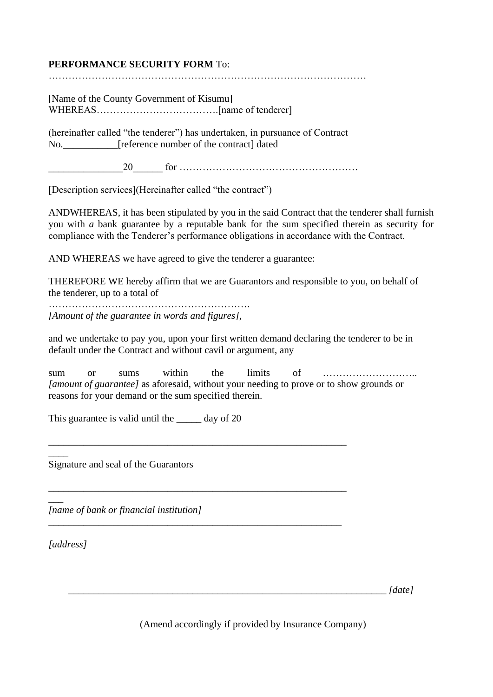## **PERFORMANCE SECURITY FORM** To:

……………………………………………………………………………………

[Name of the County Government of Kisumu] WHEREAS……………………………….[name of tenderer]

(hereinafter called "the tenderer") has undertaken, in pursuance of Contract No. [reference number of the contract] dated

\_\_\_\_\_\_\_\_\_\_\_\_\_\_\_20\_\_\_\_\_\_ for ………………………………………………

[Description services](Hereinafter called "the contract")

ANDWHEREAS, it has been stipulated by you in the said Contract that the tenderer shall furnish you with *a* bank guarantee by a reputable bank for the sum specified therein as security for compliance with the Tenderer's performance obligations in accordance with the Contract.

AND WHEREAS we have agreed to give the tenderer a guarantee:

THEREFORE WE hereby affirm that we are Guarantors and responsible to you, on behalf of the tenderer, up to a total of

……………………………………………………. *[Amount of the guarantee in words and figures],*

and we undertake to pay you, upon your first written demand declaring the tenderer to be in default under the Contract and without cavil or argument, any

sum or sums within the limits of ……………………….. *[amount of guarantee]* as aforesaid, without your needing to prove or to show grounds or reasons for your demand or the sum specified therein.

\_\_\_\_\_\_\_\_\_\_\_\_\_\_\_\_\_\_\_\_\_\_\_\_\_\_\_\_\_\_\_\_\_\_\_\_\_\_\_\_\_\_\_\_\_\_\_\_\_\_\_\_\_\_\_\_\_\_\_\_

\_\_\_\_\_\_\_\_\_\_\_\_\_\_\_\_\_\_\_\_\_\_\_\_\_\_\_\_\_\_\_\_\_\_\_\_\_\_\_\_\_\_\_\_\_\_\_\_\_\_\_\_\_\_\_\_\_\_\_\_

*\_\_\_\_\_\_\_\_\_\_\_\_\_\_\_\_\_\_\_\_\_\_\_\_\_\_\_\_\_\_\_\_\_\_\_\_\_\_\_\_\_\_\_\_\_\_\_\_\_\_\_\_\_\_\_\_\_\_\_*

This guarantee is valid until the \_\_\_\_\_ day of 20

Signature and seal of the Guarantors

*[name of bank or financial institution]*

*[address]*

 $\overline{\phantom{a}}$ 

 $\overline{\phantom{a}}$ 

*\_\_\_\_\_\_\_\_\_\_\_\_\_\_\_\_\_\_\_\_\_\_\_\_\_\_\_\_\_\_\_\_\_\_\_\_\_\_\_\_\_\_\_\_\_\_\_\_\_\_\_\_\_\_\_\_\_\_\_\_\_\_\_\_ [date]*

(Amend accordingly if provided by Insurance Company)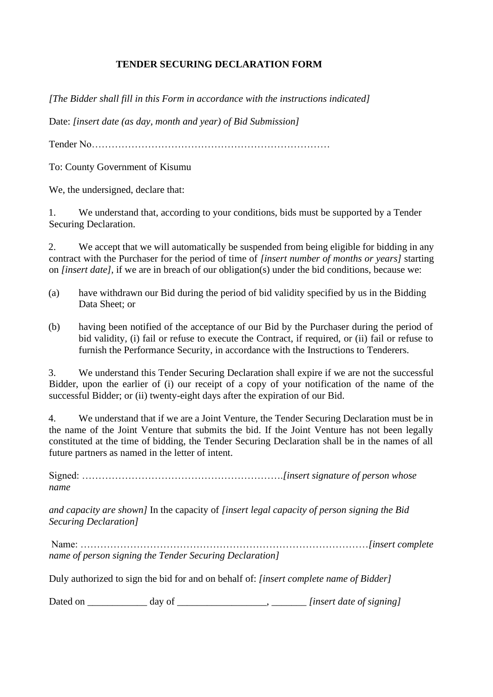## **TENDER SECURING DECLARATION FORM**

*[The Bidder shall fill in this Form in accordance with the instructions indicated]*

Date: *[insert date (as day, month and year) of Bid Submission]*

Tender No………………………………………………………………

To: County Government of Kisumu

We, the undersigned, declare that:

1. We understand that, according to your conditions, bids must be supported by a Tender Securing Declaration.

2. We accept that we will automatically be suspended from being eligible for bidding in any contract with the Purchaser for the period of time of *[insert number of months or years]* starting on *[insert date],* if we are in breach of our obligation(s) under the bid conditions, because we:

- (a) have withdrawn our Bid during the period of bid validity specified by us in the Bidding Data Sheet; or
- (b) having been notified of the acceptance of our Bid by the Purchaser during the period of bid validity, (i) fail or refuse to execute the Contract, if required, or (ii) fail or refuse to furnish the Performance Security, in accordance with the Instructions to Tenderers.

3. We understand this Tender Securing Declaration shall expire if we are not the successful Bidder, upon the earlier of (i) our receipt of a copy of your notification of the name of the successful Bidder; or (ii) twenty-eight days after the expiration of our Bid.

4. We understand that if we are a Joint Venture, the Tender Securing Declaration must be in the name of the Joint Venture that submits the bid. If the Joint Venture has not been legally constituted at the time of bidding, the Tender Securing Declaration shall be in the names of all future partners as named in the letter of intent.

Signed: …………………………………………………….*[insert signature of person whose name*

*and capacity are shown]* In the capacity of *[insert legal capacity of person signing the Bid Securing Declaration]*

Name: ……………………………………………………………………………*[insert complete name of person signing the Tender Securing Declaration]*

Duly authorized to sign the bid for and on behalf of: *[insert complete name of Bidder]*

Dated on \_\_\_\_\_\_\_\_\_\_\_\_ day of \_\_\_\_\_\_\_\_\_\_\_\_\_\_\_\_\_\_, \_\_\_\_\_\_\_ *[insert date of signing]*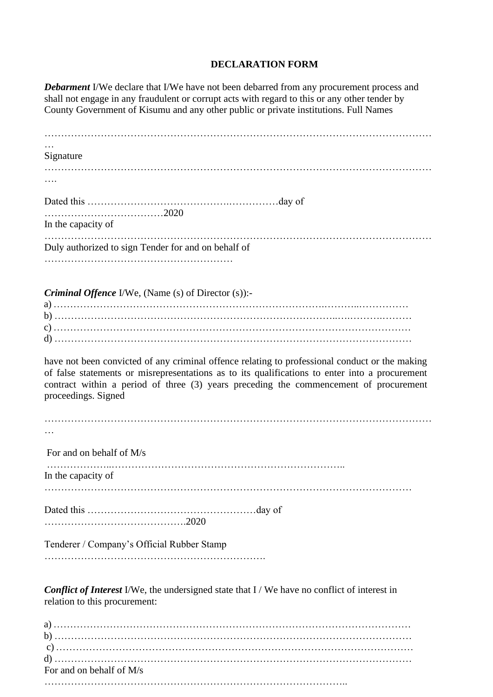## **DECLARATION FORM**

*Debarment I/We declare that I/We have not been debarred from any procurement process and* shall not engage in any fraudulent or corrupt acts with regard to this or any other tender by County Government of Kisumu and any other public or private institutions. Full Names

| Signature                                                                                           |
|-----------------------------------------------------------------------------------------------------|
|                                                                                                     |
|                                                                                                     |
|                                                                                                     |
|                                                                                                     |
| In the capacity of                                                                                  |
|                                                                                                     |
| Duly authorized to sign Tender for and on behalf of                                                 |
|                                                                                                     |
|                                                                                                     |
| <i>Criminal Offence I/We, (Name (s) of Director (s)):-</i>                                          |
|                                                                                                     |
|                                                                                                     |
|                                                                                                     |
|                                                                                                     |
| have not been convicted of any criminal offence relating to professional conduct or the making      |
| of false statements or misrepresentations as to its qualifications to enter into a procurement      |
| contract within a period of three (3) years preceding the commencement of procurement               |
| proceedings. Signed                                                                                 |
|                                                                                                     |
|                                                                                                     |
|                                                                                                     |
| For and on behalf of M/s                                                                            |
|                                                                                                     |
| In the capacity of                                                                                  |
|                                                                                                     |
|                                                                                                     |
|                                                                                                     |
|                                                                                                     |
|                                                                                                     |
| Tenderer / Company's Official Rubber Stamp                                                          |
|                                                                                                     |
|                                                                                                     |
| <b>Conflict of Interest</b> I/We, the undersigned state that I / We have no conflict of interest in |
| relation to this procurement:                                                                       |
|                                                                                                     |
|                                                                                                     |
|                                                                                                     |
|                                                                                                     |

For and on behalf of M/s

………………………………………………………………………………..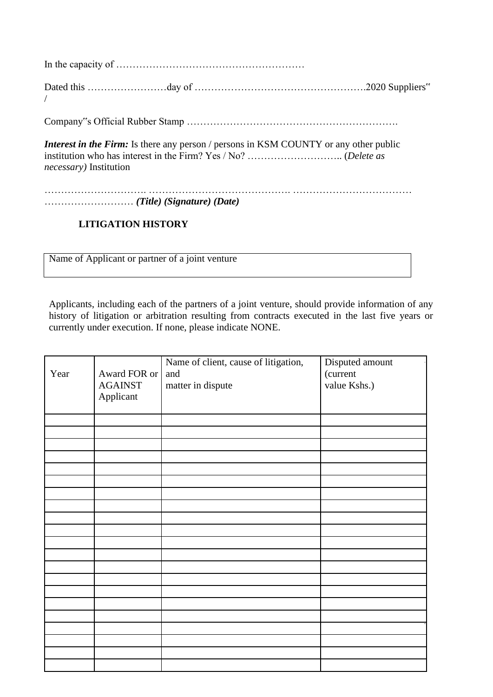In the capacity of …………………………………………………

Dated this …………………………day of …………………………………………………………………2020 Suppliers" /

Company"s Official Rubber Stamp ……………………………………………………….

*Interest in the Firm:* Is there any person / persons in KSM COUNTY or any other public institution who has interest in the Firm? Yes / No? ……………………….. (*Delete as necessary)* Institution

…………………………. ……………………………………. ……………………………… ……………………… *(Title) (Signature) (Date)*

## **LITIGATION HISTORY**

Name of Applicant or partner of a joint venture

Applicants, including each of the partners of a joint venture, should provide information of any history of litigation or arbitration resulting from contracts executed in the last five years or currently under execution. If none, please indicate NONE.

| Year | Award FOR or<br><b>AGAINST</b><br>Applicant | Name of client, cause of litigation,<br>and<br>matter in dispute | Disputed amount<br>(current<br>value Kshs.) |
|------|---------------------------------------------|------------------------------------------------------------------|---------------------------------------------|
|      |                                             |                                                                  |                                             |
|      |                                             |                                                                  |                                             |
|      |                                             |                                                                  |                                             |
|      |                                             |                                                                  |                                             |
|      |                                             |                                                                  |                                             |
|      |                                             |                                                                  |                                             |
|      |                                             |                                                                  |                                             |
|      |                                             |                                                                  |                                             |
|      |                                             |                                                                  |                                             |
|      |                                             |                                                                  |                                             |
|      |                                             |                                                                  |                                             |
|      |                                             |                                                                  |                                             |
|      |                                             |                                                                  |                                             |
|      |                                             |                                                                  |                                             |
|      |                                             |                                                                  |                                             |
|      |                                             |                                                                  |                                             |
|      |                                             |                                                                  |                                             |
|      |                                             |                                                                  |                                             |
|      |                                             |                                                                  |                                             |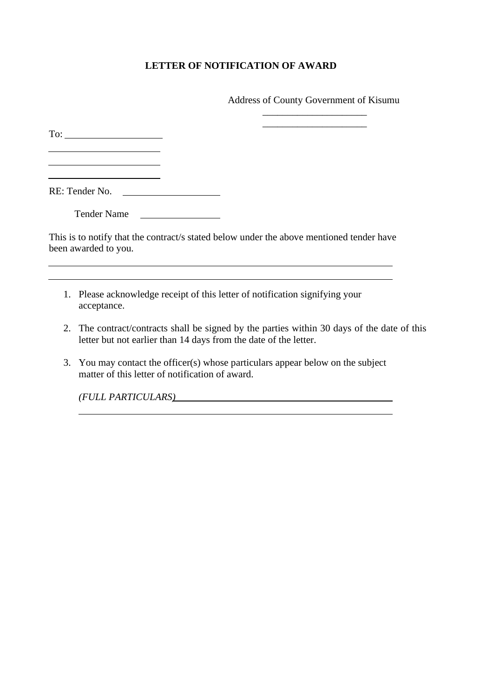## **LETTER OF NOTIFICATION OF AWARD**

Address of County Government of Kisumu \_\_\_\_\_\_\_\_\_\_\_\_\_\_\_\_\_\_\_\_\_

To: The contract of the contract of the contract of the contract of the contract of the contract of the contract of the contract of the contract of the contract of the contract of the contract of the contract of the contra

<u> 1989 - Johann Barbara, martin da basar</u>

RE: Tender No.

Tender Name

This is to notify that the contract/s stated below under the above mentioned tender have been awarded to you.

- 1. Please acknowledge receipt of this letter of notification signifying your acceptance.
- 2. The contract/contracts shall be signed by the parties within 30 days of the date of this letter but not earlier than 14 days from the date of the letter.
- 3. You may contact the officer(s) whose particulars appear below on the subject matter of this letter of notification of award.

*(FULL PARTICULARS)*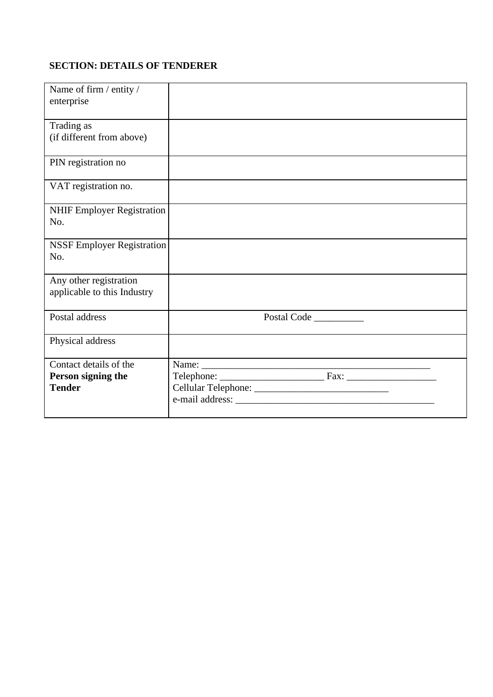## **SECTION: DETAILS OF TENDERER**

| Name of firm / entity /<br>enterprise                         |             |
|---------------------------------------------------------------|-------------|
| Trading as<br>(if different from above)                       |             |
| PIN registration no                                           |             |
| VAT registration no.                                          |             |
| NHIF Employer Registration<br>No.                             |             |
| <b>NSSF Employer Registration</b><br>No.                      |             |
| Any other registration<br>applicable to this Industry         |             |
| Postal address                                                | Postal Code |
| Physical address                                              |             |
| Contact details of the<br>Person signing the<br><b>Tender</b> |             |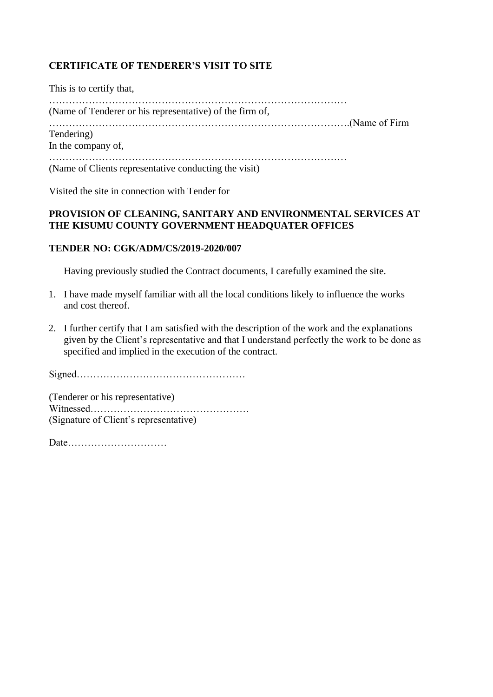## **CERTIFICATE OF TENDERER'S VISIT TO SITE**

This is to certify that, ……………………………………………………………………………… (Name of Tenderer or his representative) of the firm of, ……………………………………………………………………………….(Name of Firm Tendering) In the company of, ……………………………………………………………………………… (Name of Clients representative conducting the visit)

Visited the site in connection with Tender for

## **PROVISION OF CLEANING, SANITARY AND ENVIRONMENTAL SERVICES AT THE KISUMU COUNTY GOVERNMENT HEADQUATER OFFICES**

#### **TENDER NO: CGK/ADM/CS/2019-2020/007**

Having previously studied the Contract documents, I carefully examined the site.

- 1. I have made myself familiar with all the local conditions likely to influence the works and cost thereof.
- 2. I further certify that I am satisfied with the description of the work and the explanations given by the Client's representative and that I understand perfectly the work to be done as specified and implied in the execution of the contract.

Signed……………………………………………

(Tenderer or his representative) Witnessed………………………………………… (Signature of Client's representative)

Date…………………………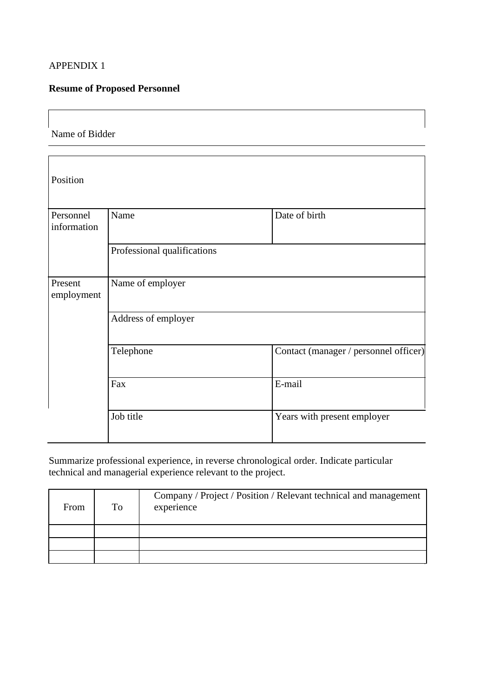## APPENDIX 1

## **Resume of Proposed Personnel**

Name of Bidder

| Position                 |                             |                                       |  |  |  |  |  |
|--------------------------|-----------------------------|---------------------------------------|--|--|--|--|--|
| Personnel<br>information | Name                        | Date of birth                         |  |  |  |  |  |
|                          | Professional qualifications |                                       |  |  |  |  |  |
| Present<br>employment    | Name of employer            |                                       |  |  |  |  |  |
|                          | Address of employer         |                                       |  |  |  |  |  |
|                          | Telephone                   | Contact (manager / personnel officer) |  |  |  |  |  |
|                          | Fax                         | E-mail                                |  |  |  |  |  |
|                          | Job title                   | Years with present employer           |  |  |  |  |  |

Summarize professional experience, in reverse chronological order. Indicate particular technical and managerial experience relevant to the project.

| From | To | Company / Project / Position / Relevant technical and management<br>experience |
|------|----|--------------------------------------------------------------------------------|
|      |    |                                                                                |
|      |    |                                                                                |
|      |    |                                                                                |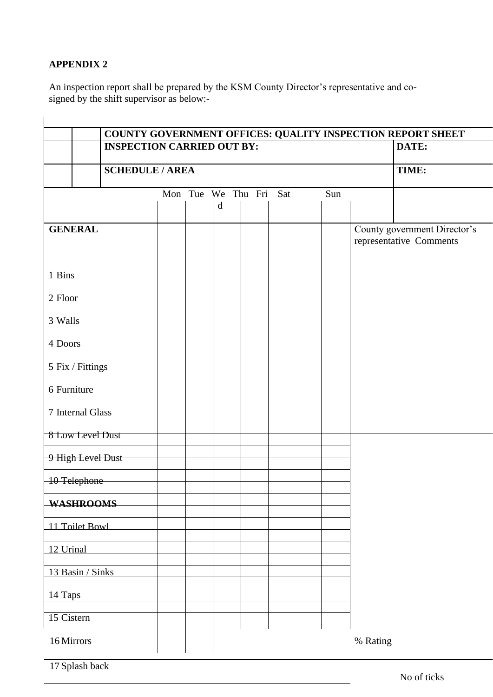## **APPENDIX 2**

An inspection report shall be prepared by the KSM County Director's representative and cosigned by the shift supervisor as below:-

|                                   |                        |  |  |   |                    |     |       |          | COUNTY GOVERNMENT OFFICES: QUALITY INSPECTION REPORT SHEET |
|-----------------------------------|------------------------|--|--|---|--------------------|-----|-------|----------|------------------------------------------------------------|
| <b>INSPECTION CARRIED OUT BY:</b> |                        |  |  |   |                    |     | DATE: |          |                                                            |
|                                   | <b>SCHEDULE / AREA</b> |  |  |   |                    |     |       |          | TIME:                                                      |
|                                   |                        |  |  | d | Mon Tue We Thu Fri | Sat | Sun   |          |                                                            |
| <b>GENERAL</b>                    |                        |  |  |   |                    |     |       |          | County government Director's<br>representative Comments    |
| 1 Bins                            |                        |  |  |   |                    |     |       |          |                                                            |
| 2 Floor                           |                        |  |  |   |                    |     |       |          |                                                            |
| 3 Walls                           |                        |  |  |   |                    |     |       |          |                                                            |
| 4 Doors                           |                        |  |  |   |                    |     |       |          |                                                            |
| 5 Fix / Fittings                  |                        |  |  |   |                    |     |       |          |                                                            |
| 6 Furniture                       |                        |  |  |   |                    |     |       |          |                                                            |
| 7 Internal Glass                  |                        |  |  |   |                    |     |       |          |                                                            |
| 8 Low Level Dust                  |                        |  |  |   |                    |     |       |          |                                                            |
| 9 High Level Dust                 |                        |  |  |   |                    |     |       |          |                                                            |
| 10 Telephone                      |                        |  |  |   |                    |     |       |          |                                                            |
| <b>WASHROOMS</b>                  |                        |  |  |   |                    |     |       |          |                                                            |
| 11 Toilet Bowl                    |                        |  |  |   |                    |     |       |          |                                                            |
| 12 Urinal                         |                        |  |  |   |                    |     |       |          |                                                            |
| 13 Basin / Sinks                  |                        |  |  |   |                    |     |       |          |                                                            |
| 14 Taps                           |                        |  |  |   |                    |     |       |          |                                                            |
| 15 Cistern                        |                        |  |  |   |                    |     |       |          |                                                            |
| 16 Mirrors                        |                        |  |  |   |                    |     |       | % Rating |                                                            |

17 Splash back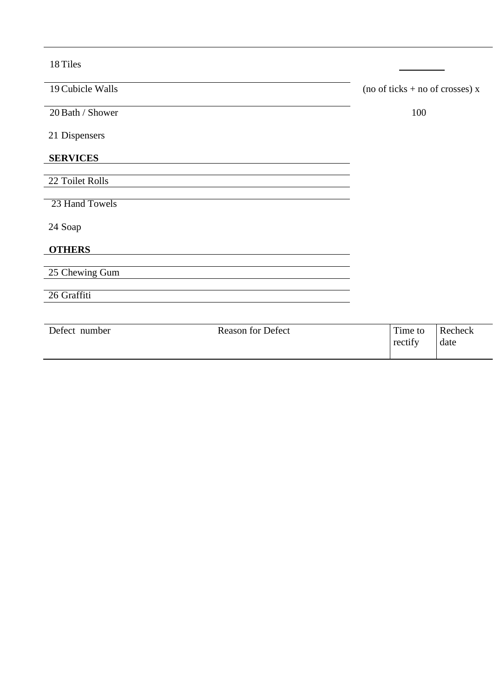18 Tiles

| 19 Cubicle Walls | (no of ticks + no of crosses) $x$ |
|------------------|-----------------------------------|
| 20 Bath / Shower | 100                               |
| 21 Dispensers    |                                   |
| <b>SERVICES</b>  |                                   |
|                  |                                   |
| 22 Toilet Rolls  |                                   |
|                  |                                   |
| 23 Hand Towels   |                                   |
| 24 Soap          |                                   |
| <b>OTHERS</b>    |                                   |
|                  |                                   |
| 25 Chewing Gum   |                                   |
|                  |                                   |
| 26 Graffiti      |                                   |
|                  |                                   |
|                  |                                   |

| Defect number | <b>Reason for Defect</b> | Time to<br>rectify | Recheck<br>date |
|---------------|--------------------------|--------------------|-----------------|
|               |                          |                    |                 |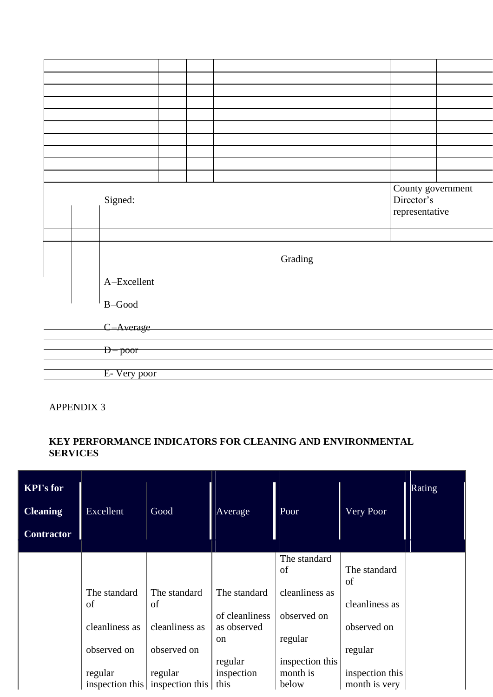|  | Signed:      |  |         | County government<br>Director's<br>representative |  |
|--|--------------|--|---------|---------------------------------------------------|--|
|  |              |  |         |                                                   |  |
|  |              |  | Grading |                                                   |  |
|  | A-Excellent  |  |         |                                                   |  |
|  | $B$ -Good    |  |         |                                                   |  |
|  | C-Average    |  |         |                                                   |  |
|  |              |  |         |                                                   |  |
|  | $D$ - poor   |  |         |                                                   |  |
|  |              |  |         |                                                   |  |
|  | E- Very poor |  |         |                                                   |  |
|  |              |  |         |                                                   |  |

APPENDIX 3

## **KEY PERFORMANCE INDICATORS FOR CLEANING AND ENVIRONMENTAL SERVICES**

| <b>KPI's for</b><br><b>Cleaning</b><br><b>Contractor</b> | Excellent          | Good                                              | Average                                        | Poor                   | Very Poor                        | Rating |
|----------------------------------------------------------|--------------------|---------------------------------------------------|------------------------------------------------|------------------------|----------------------------------|--------|
|                                                          |                    |                                                   |                                                | The standard<br>of     | The standard                     |        |
|                                                          | The standard<br>of | The standard<br>of                                | The standard                                   | cleanliness as         | of<br>cleanliness as             |        |
|                                                          | cleanliness as     | cleanliness as                                    | of cleanliness<br>as observed<br><sub>on</sub> | observed on<br>regular | observed on                      |        |
|                                                          | observed on        | observed on                                       | regular                                        | inspection this        | regular                          |        |
|                                                          | regular            | regular<br>inspection this inspection this   this | inspection                                     | month is<br>below      | inspection this<br>month is very |        |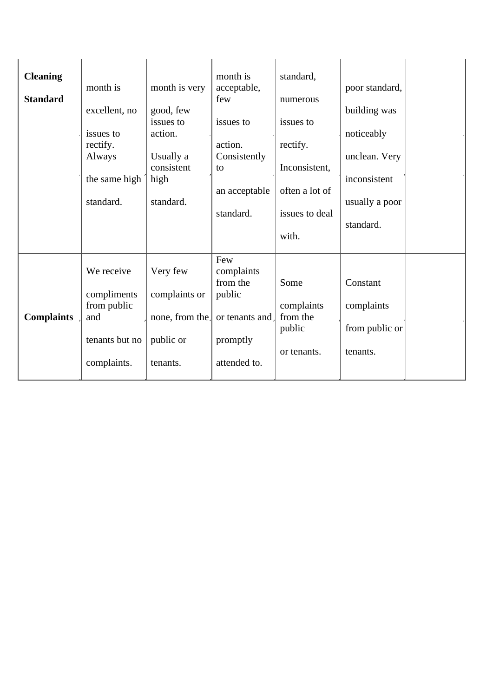| <b>Cleaning</b><br><b>Standard</b> | month is<br>excellent, no<br>issues to<br>rectify.<br>Always<br>the same high<br>standard. | month is very<br>good, few<br>issues to<br>action.<br>Usually a<br>consistent<br>high<br>standard. | month is<br>acceptable,<br>few<br>issues to<br>action.<br>Consistently<br>to<br>an acceptable<br>standard. | standard,<br>numerous<br>issues to<br>rectify.<br>Inconsistent,<br>often a lot of<br>issues to deal<br>with. | poor standard,<br>building was<br>noticeably<br>unclean. Very<br>inconsistent<br>usually a poor<br>standard. |
|------------------------------------|--------------------------------------------------------------------------------------------|----------------------------------------------------------------------------------------------------|------------------------------------------------------------------------------------------------------------|--------------------------------------------------------------------------------------------------------------|--------------------------------------------------------------------------------------------------------------|
| <b>Complaints</b>                  | We receive<br>compliments<br>from public<br>and                                            | Very few<br>complaints or<br>none, from the.                                                       | Few<br>complaints<br>from the<br>public<br>or tenants and.                                                 | Some<br>complaints<br>from the                                                                               | Constant<br>complaints                                                                                       |
|                                    | tenants but no<br>complaints.                                                              | public or<br>tenants.                                                                              | promptly<br>attended to.                                                                                   | public<br>or tenants.                                                                                        | from public or<br>tenants.                                                                                   |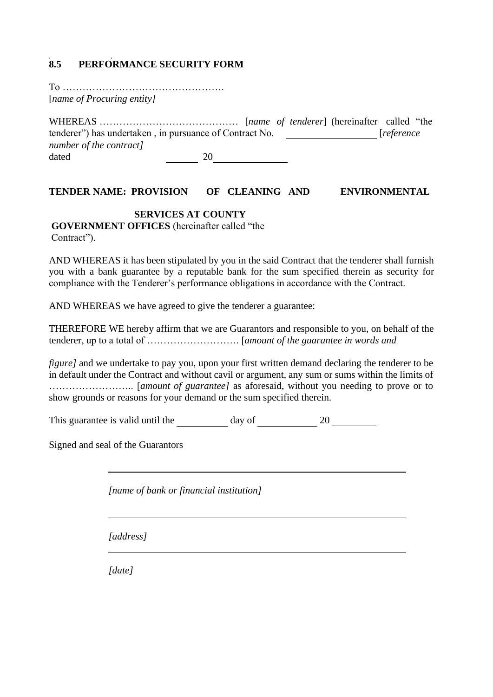## **8.5 PERFORMANCE SECURITY FORM**

To …………………………………………. [*name of Procuring entity]*

WHEREAS …………………………………… [*name of tenderer*] (hereinafter called "the tenderer") has undertaken , in pursuance of Contract No. [*reference number of the contract]*  dated 20 20

#### **TENDER NAME: PROVISION OF CLEANING AND ENVIRONMENTAL**

#### **SERVICES AT COUNTY**

**GOVERNMENT OFFICES** (hereinafter called "the Contract").

AND WHEREAS it has been stipulated by you in the said Contract that the tenderer shall furnish you with a bank guarantee by a reputable bank for the sum specified therein as security for compliance with the Tenderer's performance obligations in accordance with the Contract.

AND WHEREAS we have agreed to give the tenderer a guarantee:

THEREFORE WE hereby affirm that we are Guarantors and responsible to you, on behalf of the tenderer, up to a total of ………………………. [*amount of the guarantee in words and*

*figure]* and we undertake to pay you, upon your first written demand declaring the tenderer to be in default under the Contract and without cavil or argument, any sum or sums within the limits of …………………….. [*amount of guarantee]* as aforesaid, without you needing to prove or to show grounds or reasons for your demand or the sum specified therein.

This guarantee is valid until the day of 20

Signed and seal of the Guarantors

*[name of bank or financial institution]*

*[address]*

*[date]*